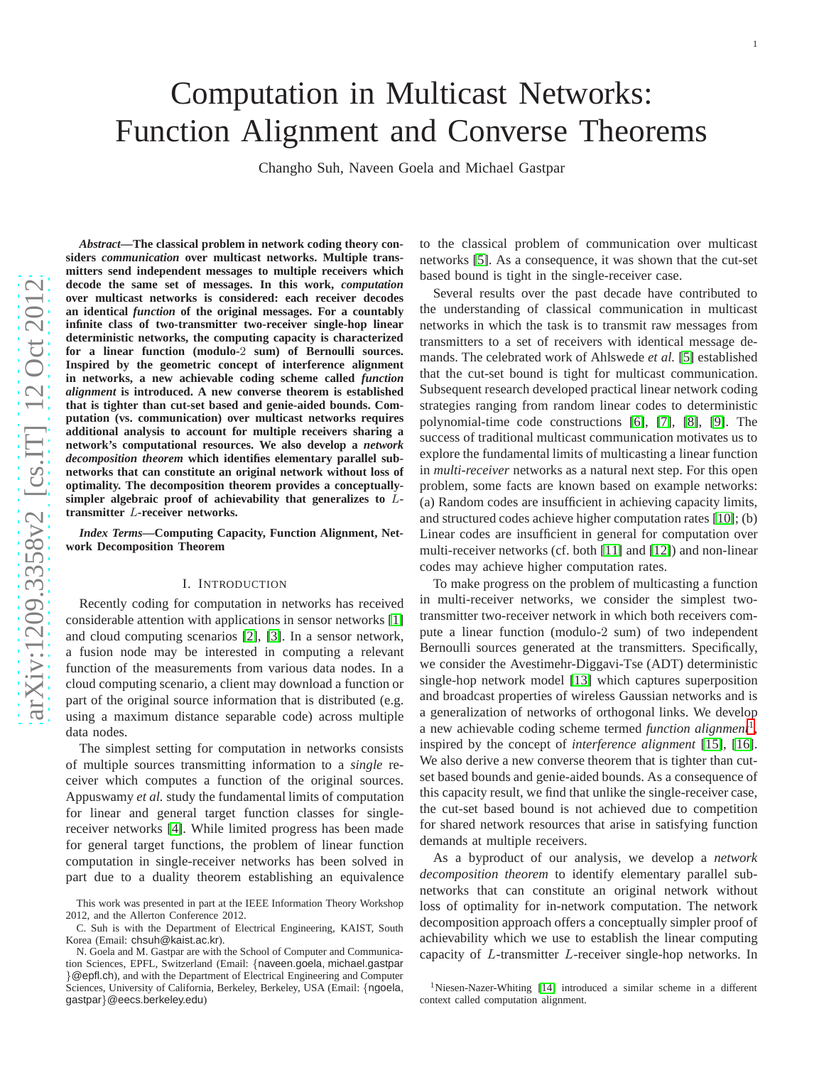# Computation in Multicast Networks: Function Alignment and Converse Theorems

Changho Suh, Naveen Goela and Michael Gastpar

*Abstract***—The classical problem in network coding theory considers** *communication* **over multicast networks. Multiple transmitters send independent messages to multiple receivers which decode the same set of messages. In this work,** *computation* **over multicast networks is considered: each receiver decodes an identical** *function* **of the original messages. For a countably infinite class of two-transmitter two-receiver single-hop linear deterministic networks, the computing capacity is characterized for a linear function (modulo-**2 **sum) of Bernoulli sources. Inspired by the geometric concept of interference alignmen t in networks, a new achievable coding scheme called** *function alignment* **is introduced. A new converse theorem is established that is tighter than cut-set based and genie-aided bounds. Computation (vs. communication) over multicast networks requires additional analysis to account for multiple receivers sharing a network's computational resources. We also develop a** *network decomposition theorem* **which identifies elementary parallel subnetworks that can constitute an original network without loss of optimality. The decomposition theorem provides a conceptuallysimpler algebraic proof of achievability that generalizes to** L**transmitter** L**-receiver networks.**

*Index Terms***—Computing Capacity, Function Alignment, Network Decomposition Theorem**

## I. INTRODUCTION

Recently coding for computation in networks has received considerable attention with applications in sensor networks [\[1\]](#page-11-0) and cloud computing scenarios [\[2\]](#page-11-1), [\[3\]](#page-11-2). In a sensor network, a fusion node may be interested in computing a relevant function of the measurements from various data nodes. In a cloud computing scenario, a client may download a function o r part of the original source information that is distributed (e.g. using a maximum distance separable code) across multiple data nodes.

The simplest setting for computation in networks consists of multiple sources transmitting information to a *single* receiver which computes a function of the original sources. Appuswamy *et al.* study the fundamental limits of computation for linear and general target function classes for singlereceiver networks [\[4\]](#page-11-3). While limited progress has been made for general target functions, the problem of linear functio n computation in single-receiver networks has been solved in part due to a duality theorem establishing an equivalence

C. Suh is with the Department of Electrical Engineering, KAIST, South Korea (Email: chsuh@kaist.ac.kr).

to the classical problem of communication over multicast networks [\[5\]](#page-11-4). As a consequence, it was shown that the cut-set based bound is tight in the single-receiver case.

Several results over the past decade have contributed to the understanding of classical communication in multicast networks in which the task is to transmit raw messages from transmitters to a set of receivers with identical message de mands. The celebrated work of Ahlswede *et al.* [\[5\]](#page-11-4) established that the cut-set bound is tight for multicast communication . Subsequent research developed practical linear network coding strategies ranging from random linear codes to deterministic polynomial-time code constructions [\[6\]](#page-11-5), [\[7\]](#page-11-6), [\[8\]](#page-11-7), [\[9\]](#page-11-8). The success of traditional multicast communication motivates us to explore the fundamental limits of multicasting a linear function in *multi-receiver* networks as a natural next step. For this open problem, some facts are known based on example networks: (a) Random codes are insufficient in achieving capacity limits, and structured codes achieve higher computation rates [\[10\]](#page-11-9); (b) Linear codes are insufficient in general for computation ove r multi-receiver networks (cf. both [\[11\]](#page-11-10) and [\[12\]](#page-11-11)) and non-linear codes may achieve higher computation rates.

To make progress on the problem of multicasting a function in multi-receiver networks, we consider the simplest twotransmitter two-receiver network in which both receivers compute a linear function (modulo-2 sum) of two independent Bernoulli sources generated at the transmitters. Specifically, we consider the Avestimehr-Diggavi-Tse (ADT) deterministic single-hop network model [\[13\]](#page-11-12) which captures superpositio n and broadcast properties of wireless Gaussian networks and is a generalization of networks of orthogonal links. We develo p a new achievable coding scheme termed *function alignment* [1](#page-0-0) , inspired by the concept of *interference alignment* [\[15\]](#page-11-13), [\[16\]](#page-11-14). We also derive a new converse theorem that is tighter than cutset based bounds and genie-aided bounds. As a consequence of this capacity result, we find that unlike the single-receiver case, the cut-set based bound is not achieved due to competition for shared network resources that arise in satisfying function demands at multiple receivers.

As a byproduct of our analysis, we develop a *network decomposition theorem* to identify elementary parallel subnetworks that can constitute an original network without loss of optimality for in-network computation. The network decomposition approach offers a conceptually simpler proof of achievability which we use to establish the linear computin g capacity of L-transmitter L-receiver single-hop networks. In

This work was presented in part at the IEEE Information Theory Workshop 2012, and the Allerton Conference 2012.

N. Goela and M. Gastpar are with the School of Computer and Communication Sciences, EPFL, Switzerland (Email: {naveen.goela, michael.gastpar }@epfl.ch), and with the Department of Electrical Engineering and Computer Sciences, University of California, Berkeley, Berkeley, USA (Email: {ngoela, gastpar }@eecs.berkeley.edu )

<span id="page-0-0"></span><sup>&</sup>lt;sup>1</sup>Niesen-Nazer-Whiting [\[14\]](#page-11-15) introduced a similar scheme in a different context called computation alignment.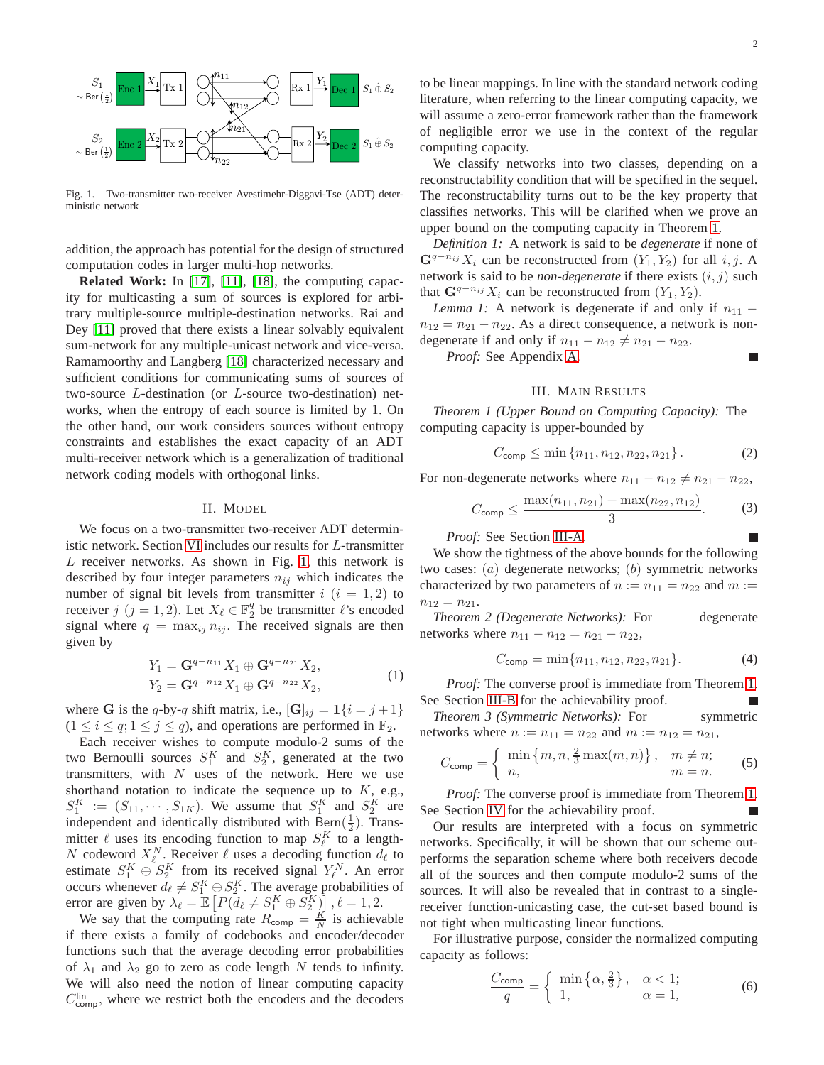

<span id="page-1-0"></span>Fig. 1. Two-transmitter two-receiver Avestimehr-Diggavi-Tse (ADT) deterministic network

addition, the approach has potential for the design of structured computation codes in larger multi-hop networks.

**Related Work:** In [\[17\]](#page-11-16), [\[11\]](#page-11-10), [\[18\]](#page-11-17), the computing capacity for multicasting a sum of sources is explored for arbitrary multiple-source multiple-destination networks. Rai and Dey [\[11\]](#page-11-10) proved that there exists a linear solvably equivalent sum-network for any multiple-unicast network and vice-versa. Ramamoorthy and Langberg [\[18\]](#page-11-17) characterized necessary and sufficient conditions for communicating sums of sources of two-source L-destination (or L-source two-destination) networks, when the entropy of each source is limited by 1. On the other hand, our work considers sources without entropy constraints and establishes the exact capacity of an ADT multi-receiver network which is a generalization of traditional network coding models with orthogonal links.

# II. MODEL

We focus on a two-transmitter two-receiver ADT deterministic network. Section [VI](#page-6-0) includes our results for L-transmitter L receiver networks. As shown in Fig. [1,](#page-1-0) this network is described by four integer parameters  $n_{ij}$  which indicates the number of signal bit levels from transmitter  $i$   $(i = 1, 2)$  to receiver  $j$   $(j = 1, 2)$ . Let  $X_{\ell} \in \mathbb{F}_2^q$  be transmitter  $\ell$ 's encoded signal where  $q = \max_{i,j} n_{ij}$ . The received signals are then given by

$$
Y_1 = \mathbf{G}^{q-n_{11}} X_1 \oplus \mathbf{G}^{q-n_{21}} X_2,
$$
  
\n
$$
Y_2 = \mathbf{G}^{q-n_{12}} X_1 \oplus \mathbf{G}^{q-n_{22}} X_2,
$$
\n(1)

where G is the q-by-q shift matrix, i.e.,  $[\mathbf{G}]_{ij} = 1\{i = j + 1\}$  $(1 \le i \le q; 1 \le j \le q)$ , and operations are performed in  $\mathbb{F}_2$ .

Each receiver wishes to compute modulo-2 sums of the two Bernoulli sources  $S_1^K$  and  $S_2^K$ , generated at the two transmitters, with  $N$  uses of the network. Here we use shorthand notation to indicate the sequence up to  $K$ , e.g.,  $S_1^K := (S_{11}, \cdots, S_{1K})$ . We assume that  $S_1^K$  and  $S_2^K$  are independent and identically distributed with Bern $(\frac{1}{2})$ . Transmitter  $\ell$  uses its encoding function to map  $S_{\ell}^{K}$  to a length-N codeword  $X_{\ell}^{N}$ . Receiver  $\ell$  uses a decoding function  $d_{\ell}$  to estimate  $S_1^K \oplus S_2^K$  from its received signal  $Y_\ell^N$ . An error occurs whenever  $d_{\ell} \neq S_1^K \oplus S_2^K$ . The average probabilities of error are given by  $\lambda_{\ell} = \mathbb{E}\left[P(d_{\ell} \neq S_1^K \oplus S_2^K)\right], \ell = 1, 2$ .

We say that the computing rate  $R_{\text{comp}} = \frac{K}{N}$  is achievable if there exists a family of codebooks and encoder/decoder functions such that the average decoding error probabilities of  $\lambda_1$  and  $\lambda_2$  go to zero as code length N tends to infinity. We will also need the notion of linear computing capacity  $C_{\text{comp}}^{\text{lin}}$ , where we restrict both the encoders and the decoders to be linear mappings. In line with the standard network coding literature, when referring to the linear computing capacity, we will assume a zero-error framework rather than the framework of negligible error we use in the context of the regular computing capacity.

We classify networks into two classes, depending on a reconstructability condition that will be specified in the sequel. The reconstructability turns out to be the key property that classifies networks. This will be clarified when we prove an upper bound on the computing capacity in Theorem [1.](#page-1-1)

*Definition 1:* A network is said to be *degenerate* if none of  $\mathbf{G}^{q-n_{ij}}X_i$  can be reconstructed from  $(Y_1, Y_2)$  for all i, j. A network is said to be *non-degenerate* if there exists  $(i, j)$  such that  $\mathbf{G}^{q-n_{ij}}X_i$  can be reconstructed from  $(Y_1, Y_2)$ .

<span id="page-1-6"></span>*Lemma 1:* A network is degenerate if and only if  $n_{11}$  –  $n_{12} = n_{21} - n_{22}$ . As a direct consequence, a network is nondegenerate if and only if  $n_{11} - n_{12} \neq n_{21} - n_{22}$ .

*Proof:* See Appendix [A.](#page-9-0)

# <span id="page-1-3"></span><span id="page-1-2"></span>III. MAIN RESULTS

<span id="page-1-1"></span>*Theorem 1 (Upper Bound on Computing Capacity):* The computing capacity is upper-bounded by

$$
C_{\text{comp}} \le \min\{n_{11}, n_{12}, n_{22}, n_{21}\}.
$$
 (2)

For non-degenerate networks where  $n_{11} - n_{12} \neq n_{21} - n_{22}$ ,

$$
C_{\text{comp}} \le \frac{\max(n_{11}, n_{21}) + \max(n_{22}, n_{12})}{3}.
$$
 (3)

*Proof:* See Section [III-A.](#page-2-0)

We show the tightness of the above bounds for the following two cases:  $(a)$  degenerate networks;  $(b)$  symmetric networks characterized by two parameters of  $n := n_{11} = n_{22}$  and  $m :=$  $n_{12} = n_{21}.$ 

<span id="page-1-4"></span>*Theorem 2 (Degenerate Networks):* For degenerate networks where  $n_{11} - n_{12} = n_{21} - n_{22}$ ,

$$
C_{\text{comp}} = \min\{n_{11}, n_{12}, n_{22}, n_{21}\}.
$$
 (4)

*Proof:* The converse proof is immediate from Theorem [1.](#page-1-1) See Section [III-B](#page-2-1) for the achievability proof.

<span id="page-1-5"></span>*Theorem 3 (Symmetric Networks):* For symmetric networks where  $n := n_{11} = n_{22}$  and  $m := n_{12} = n_{21}$ ,

$$
C_{\text{comp}} = \begin{cases} \min\left\{m, n, \frac{2}{3}\max(m, n)\right\}, & m \neq n; \\ n, & m = n. \end{cases}
$$
 (5)

*Proof:* The converse proof is immediate from Theorem [1.](#page-1-1) See Section [IV](#page-3-0) for the achievability proof.

Our results are interpreted with a focus on symmetric networks. Specifically, it will be shown that our scheme outperforms the separation scheme where both receivers decode all of the sources and then compute modulo-2 sums of the sources. It will also be revealed that in contrast to a singlereceiver function-unicasting case, the cut-set based bound is not tight when multicasting linear functions.

For illustrative purpose, consider the normalized computing capacity as follows:

$$
\frac{C_{\text{comp}}}{q} = \begin{cases} \min\left\{\alpha, \frac{2}{3}\right\}, & \alpha < 1; \\ 1, & \alpha = 1, \end{cases}
$$
 (6)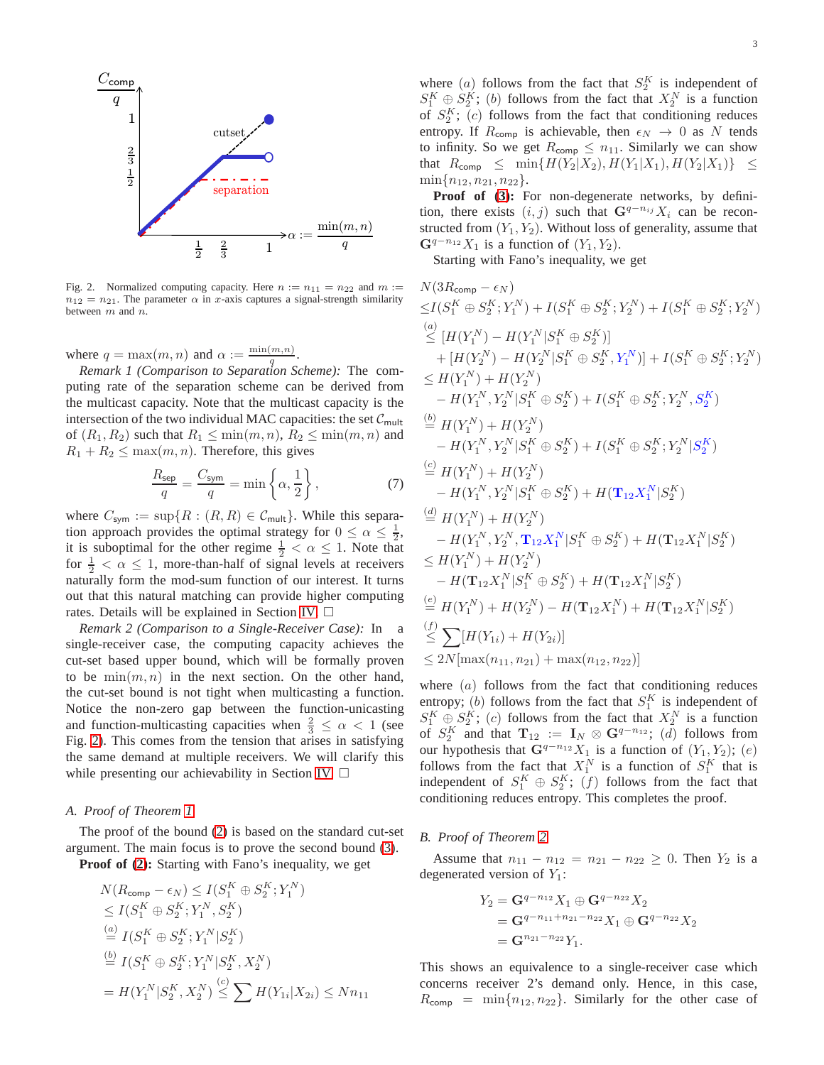

<span id="page-2-2"></span>Fig. 2. Normalized computing capacity. Here  $n := n_{11} = n_{22}$  and  $m :=$  $n_{12} = n_{21}$ . The parameter  $\alpha$  in x-axis captures a signal-strength similarity between m and n.

where  $q = \max(m, n)$  and  $\alpha := \frac{\min(m, n)}{q}$  $\frac{(m,n)}{q}$ .

*Remark 1 (Comparison to Separation Scheme):* The computing rate of the separation scheme can be derived from the multicast capacity. Note that the multicast capacity is the intersection of the two individual MAC capacities: the set  $C_{\text{mult}}$ of  $(R_1, R_2)$  such that  $R_1 \leq \min(m, n)$ ,  $R_2 \leq \min(m, n)$  and  $R_1 + R_2 \leq \max(m, n)$ . Therefore, this gives

$$
\frac{R_{\text{sep}}}{q} = \frac{C_{\text{sym}}}{q} = \min\left\{\alpha, \frac{1}{2}\right\},\tag{7}
$$

where  $C_{sym} := \sup\{R : (R, R) \in C_{mult}\}.$  While this separation approach provides the optimal strategy for  $0 \le \alpha \le \frac{1}{2}$ , it is suboptimal for the other regime  $\frac{1}{2} < \alpha \leq 1$ . Note that for  $\frac{1}{2} < \alpha \leq 1$ , more-than-half of signal levels at receivers naturally form the mod-sum function of our interest. It turns out that this natural matching can provide higher computing rates. Details will be explained in Section [IV.](#page-3-0)

*Remark 2 (Comparison to a Single-Receiver Case):* In a single-receiver case, the computing capacity achieves the cut-set based upper bound, which will be formally proven to be  $\min(m, n)$  in the next section. On the other hand, the cut-set bound is not tight when multicasting a function. Notice the non-zero gap between the function-unicasting and function-multicasting capacities when  $\frac{2}{3} \leq \alpha < 1$  (see Fig. [2\)](#page-2-2). This comes from the tension that arises in satisfying the same demand at multiple receivers. We will clarify this while presenting our achievability in Section [IV.](#page-3-0)  $\Box$ 

### <span id="page-2-0"></span>*A. Proof of Theorem [1](#page-1-1)*

The proof of the bound [\(2\)](#page-1-2) is based on the standard cut-set argument. The main focus is to prove the second bound [\(3\)](#page-1-3).

**Proof of [\(2\)](#page-1-2):** Starting with Fano's inequality, we get

$$
N(R_{\text{comp}} - \epsilon_N) \le I(S_1^K \oplus S_2^K; Y_1^N)
$$
  
\n
$$
\le I(S_1^K \oplus S_2^K; Y_1^N, S_2^K)
$$
  
\n
$$
\stackrel{(a)}{=} I(S_1^K \oplus S_2^K; Y_1^N | S_2^K)
$$
  
\n
$$
\stackrel{(b)}{=} I(S_1^K \oplus S_2^K; Y_1^N | S_2^K, X_2^N)
$$
  
\n
$$
= H(Y_1^N | S_2^K, X_2^N) \stackrel{(c)}{\le} \sum H(Y_{1i} | X_{2i}) \le Nn_{11}
$$

where  $(a)$  follows from the fact that  $S_2^K$  is independent of  $S_1^K \oplus S_2^K$ ; (b) follows from the fact that  $X_2^N$  is a function of  $S_2^K$ ; (c) follows from the fact that conditioning reduces entropy. If  $R_{\text{comp}}$  is achievable, then  $\epsilon_N \to 0$  as N tends to infinity. So we get  $R_{\text{comp}} \leq n_{11}$ . Similarly we can show that  $R_{\text{comp}} \leq \min\{H(Y_2|X_2), H(Y_1|X_1), H(Y_2|X_1)\} \leq$  $\min\{n_{12}, n_{21}, n_{22}\}.$ 

**Proof of [\(3\)](#page-1-3):** For non-degenerate networks, by definition, there exists  $(i, j)$  such that  $\mathbf{G}^{q-n_{ij}}X_i$  can be reconstructed from  $(Y_1, Y_2)$ . Without loss of generality, assume that  $\mathbf{G}^{q-n_{12}}X_1$  is a function of  $(Y_1, Y_2)$ .

Starting with Fano's inequality, we get

<span id="page-2-3"></span>
$$
N(3R_{comp} - \epsilon_N)
$$
  
\n
$$
\leq I(S_1^K \oplus S_2^K; Y_1^N) + I(S_1^K \oplus S_2^K; Y_2^N) + I(S_1^K \oplus S_2^K; Y_2^N)
$$
  
\n(a)  
\n
$$
\leq [H(Y_1^N) - H(Y_1^N | S_1^K \oplus S_2^K)]
$$
  
\n
$$
+ [H(Y_2^N) - H(Y_2^N | S_1^K \oplus S_2^K, Y_1^N)] + I(S_1^K \oplus S_2^K; Y_2^N)
$$
  
\n
$$
\leq H(Y_1^N) + H(Y_2^N)
$$
  
\n
$$
- H(Y_1^N, Y_2^N | S_1^K \oplus S_2^K) + I(S_1^K \oplus S_2^K; Y_2^N, S_2^K)
$$
  
\n
$$
\stackrel{(b)}{=} H(Y_1^N) + H(Y_2^N)
$$
  
\n
$$
- H(Y_1^N, Y_2^N | S_1^K \oplus S_2^K) + I(S_1^K \oplus S_2^K; Y_2^N | S_2^K)
$$
  
\n
$$
\stackrel{(c)}{=} H(Y_1^N) + H(Y_2^N)
$$
  
\n
$$
- H(Y_1^N, Y_2^N | S_1^K \oplus S_2^K) + H(\mathbf{T}_{12}X_1^N | S_2^K)
$$
  
\n
$$
\stackrel{(d)}{=} H(Y_1^N) + H(Y_2^N)
$$
  
\n
$$
- H(Y_1^N, Y_2^N, \mathbf{T}_{12}X_1^N | S_1^K \oplus S_2^K) + H(\mathbf{T}_{12}X_1^N | S_2^K)
$$
  
\n
$$
\leq H(Y_1^N) + H(Y_2^N)
$$
  
\n
$$
- H(\mathbf{T}_{12}X_1^N | S_1^K \oplus S_2^K) + H(\mathbf{T}_{12}X_1^N | S_2^K)
$$
  
\n
$$
\stackrel{(e)}{=} H(Y_1^N) + H(Y_2^N) - H(\mathbf{T}_{12}X_1^N) + H(\mathbf{T}_{12}X_1^N | S_2^K)
$$
  
\n
$$
\leq \sum [H(Y_{1i}) +
$$

where  $(a)$  follows from the fact that conditioning reduces entropy; (b) follows from the fact that  $S_1^K$  is independent of entropy, (*v*) follows from the fact that  $S_1^K \oplus S_2^K$ ; (*c*) follows from the fact that  $X_2^N$  is a function of  $S_2^K$  and that  $\mathbf{T}_{12} := \mathbf{I}_N \otimes \mathbf{G}^{q-n_{12}}$ ;  $(d)$  follows from our hypothesis that  $\mathbf{G}^{q-n_{12}}X_1$  is a function of  $(Y_1, Y_2)$ ;  $(e)$ follows from the fact that  $X_1^N$  is a function of  $S_1^K$  that is independent of  $S_1^K \oplus S_2^K$ ;  $(f)$  follows from the fact that conditioning reduces entropy. This completes the proof.

#### <span id="page-2-1"></span>*B. Proof of Theorem [2](#page-1-4)*

Assume that  $n_{11} - n_{12} = n_{21} - n_{22} \ge 0$ . Then  $Y_2$  is a degenerated version of  $Y_1$ :

$$
Y_2 = \mathbf{G}^{q-n_{12}} X_1 \oplus \mathbf{G}^{q-n_{22}} X_2
$$
  
= 
$$
\mathbf{G}^{q-n_{11}+n_{21}-n_{22}} X_1 \oplus \mathbf{G}^{q-n_{22}} X_2
$$
  
= 
$$
\mathbf{G}^{n_{21}-n_{22}} Y_1.
$$

This shows an equivalence to a single-receiver case which concerns receiver 2's demand only. Hence, in this case,  $R_{\text{como}} = \min\{n_{12}, n_{22}\}.$  Similarly for the other case of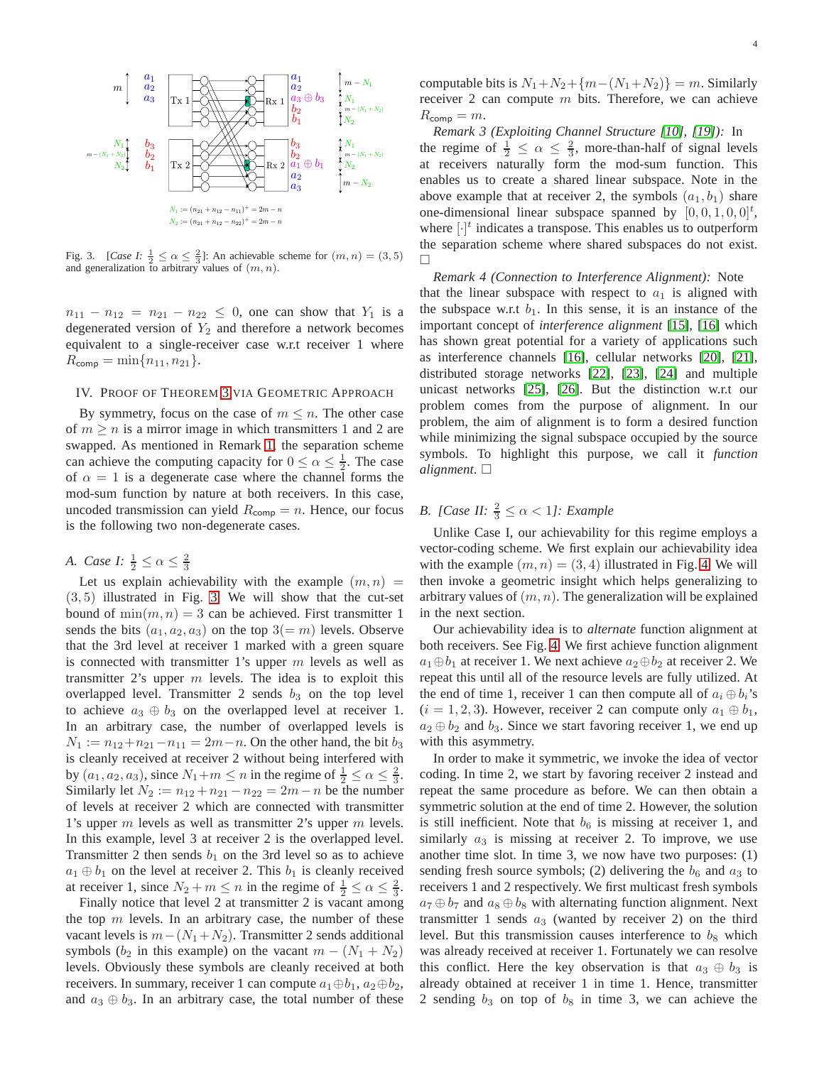

<span id="page-3-1"></span>Fig. 3. [*Case I:*  $\frac{1}{2} \le \alpha \le \frac{2}{3}$ ]: An achievable scheme for  $(m, n) = (3, 5)$ and generalization to arbitrary values of  $(m, n)$ .

 $n_{11} - n_{12} = n_{21} - n_{22} \le 0$ , one can show that  $Y_1$  is a degenerated version of  $Y_2$  and therefore a network becomes equivalent to a single-receiver case w.r.t receiver 1 where  $R_{\text{comp}} = \min\{n_{11}, n_{21}\}.$ 

# <span id="page-3-0"></span>IV. PROOF OF THEOREM [3](#page-1-5) VIA GEOMETRIC APPROACH

By symmetry, focus on the case of  $m \leq n$ . The other case of  $m > n$  is a mirror image in which transmitters 1 and 2 are swapped. As mentioned in Remark [1,](#page-2-3) the separation scheme can achieve the computing capacity for  $0 \le \alpha \le \frac{1}{2}$ . The case of  $\alpha = 1$  is a degenerate case where the channel forms the mod-sum function by nature at both receivers. In this case, uncoded transmission can yield  $R_{\text{comp}} = n$ . Hence, our focus is the following two non-degenerate cases.

*A. Case I:*  $\frac{1}{2} \leq \alpha \leq \frac{2}{3}$ 

Let us explain achievability with the example  $(m, n)$  = (3, 5) illustrated in Fig. [3.](#page-3-1) We will show that the cut-set bound of  $\min(m, n) = 3$  can be achieved. First transmitter 1 sends the bits  $(a_1, a_2, a_3)$  on the top  $3(=m)$  levels. Observe that the 3rd level at receiver 1 marked with a green square is connected with transmitter 1's upper  $m$  levels as well as transmitter 2's upper  $m$  levels. The idea is to exploit this overlapped level. Transmitter 2 sends  $b_3$  on the top level to achieve  $a_3 \oplus b_3$  on the overlapped level at receiver 1. In an arbitrary case, the number of overlapped levels is  $N_1 := n_{12} + n_{21} - n_{11} = 2m - n$ . On the other hand, the bit  $b_3$ is cleanly received at receiver 2 without being interfered with by  $(a_1, a_2, a_3)$ , since  $N_1 + m \le n$  in the regime of  $\frac{1}{2} \le \alpha \le \frac{2}{3}$ . Similarly let  $N_2 := n_{12} + n_{21} - n_{22} = 2m - n$  be the number of levels at receiver 2 which are connected with transmitter 1's upper m levels as well as transmitter 2's upper m levels. In this example, level 3 at receiver 2 is the overlapped level. Transmitter 2 then sends  $b_1$  on the 3rd level so as to achieve  $a_1 \oplus b_1$  on the level at receiver 2. This  $b_1$  is cleanly received at receiver 1, since  $N_2 + m \le n$  in the regime of  $\frac{1}{2} \le \alpha \le \frac{2}{3}$ .

Finally notice that level 2 at transmitter 2 is vacant among the top  $m$  levels. In an arbitrary case, the number of these vacant levels is  $m-(N_1+N_2)$ . Transmitter 2 sends additional symbols ( $b_2$  in this example) on the vacant  $m - (N_1 + N_2)$ levels. Obviously these symbols are cleanly received at both receivers. In summary, receiver 1 can compute  $a_1 \oplus b_1$ ,  $a_2 \oplus b_2$ , and  $a_3 \oplus b_3$ . In an arbitrary case, the total number of these computable bits is  $N_1+N_2+\{m-(N_1+N_2)\}=m$ . Similarly receiver 2 can compute  $m$  bits. Therefore, we can achieve  $R_{\text{comp}} = m.$ 

*Remark 3 (Exploiting Channel Structure [\[10\]](#page-11-9), [\[19\]](#page-11-18)):* In the regime of  $\frac{1}{2} \leq \alpha \leq \frac{2}{3}$ , more-than-half of signal levels at receivers naturally form the mod-sum function. This enables us to create a shared linear subspace. Note in the above example that at receiver 2, the symbols  $(a_1, b_1)$  share one-dimensional linear subspace spanned by  $[0, 0, 1, 0, 0]^t$ , where  $[\cdot]^{t}$  indicates a transpose. This enables us to outperform the separation scheme where shared subspaces do not exist.  $\Box$ 

*Remark 4 (Connection to Interference Alignment):* Note that the linear subspace with respect to  $a_1$  is aligned with the subspace w.r.t  $b_1$ . In this sense, it is an instance of the important concept of *interference alignment* [\[15\]](#page-11-13), [\[16\]](#page-11-14) which has shown great potential for a variety of applications such as interference channels [\[16\]](#page-11-14), cellular networks [\[20\]](#page-12-0), [\[21\]](#page-12-1), distributed storage networks [\[22\]](#page-12-2), [\[23\]](#page-12-3), [\[24\]](#page-12-4) and multiple unicast networks [\[25\]](#page-12-5), [\[26\]](#page-12-6). But the distinction w.r.t our problem comes from the purpose of alignment. In our problem, the aim of alignment is to form a desired function while minimizing the signal subspace occupied by the source symbols. To highlight this purpose, we call it *function alignment*.

# *B.* [Case II:  $\frac{2}{3} \leq \alpha < 1$ ]: Example

Unlike Case I, our achievability for this regime employs a vector-coding scheme. We first explain our achievability idea with the example  $(m, n) = (3, 4)$  illustrated in Fig. [4.](#page-4-0) We will then invoke a geometric insight which helps generalizing to arbitrary values of  $(m, n)$ . The generalization will be explained in the next section.

Our achievability idea is to *alternate* function alignment at both receivers. See Fig. [4.](#page-4-0) We first achieve function alignment  $a_1 \oplus b_1$  at receiver 1. We next achieve  $a_2 \oplus b_2$  at receiver 2. We repeat this until all of the resource levels are fully utilized. At the end of time 1, receiver 1 can then compute all of  $a_i \oplus b_i$ 's  $(i = 1, 2, 3)$ . However, receiver 2 can compute only  $a_1 \oplus b_1$ ,  $a_2 \oplus b_2$  and  $b_3$ . Since we start favoring receiver 1, we end up with this asymmetry.

In order to make it symmetric, we invoke the idea of vector coding. In time 2, we start by favoring receiver 2 instead and repeat the same procedure as before. We can then obtain a symmetric solution at the end of time 2. However, the solution is still inefficient. Note that  $b<sub>6</sub>$  is missing at receiver 1, and similarly  $a_3$  is missing at receiver 2. To improve, we use another time slot. In time 3, we now have two purposes: (1) sending fresh source symbols; (2) delivering the  $b<sub>6</sub>$  and  $a<sub>3</sub>$  to receivers 1 and 2 respectively. We first multicast fresh symbols  $a_7 \oplus b_7$  and  $a_8 \oplus b_8$  with alternating function alignment. Next transmitter 1 sends  $a_3$  (wanted by receiver 2) on the third level. But this transmission causes interference to  $b_8$  which was already received at receiver 1. Fortunately we can resolve this conflict. Here the key observation is that  $a_3 \oplus b_3$  is already obtained at receiver 1 in time 1. Hence, transmitter 2 sending  $b_3$  on top of  $b_8$  in time 3, we can achieve the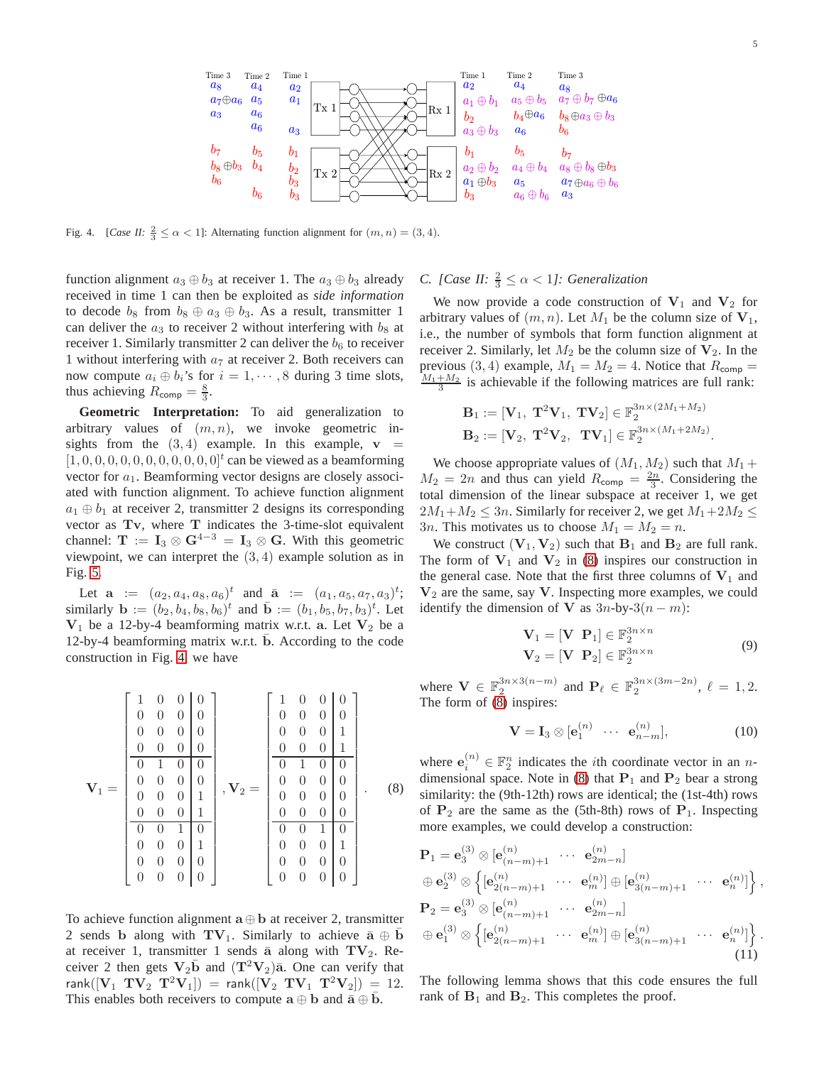

<span id="page-4-0"></span>Fig. 4. [*Case II:*  $\frac{2}{3} \le \alpha < 1$ ]: Alternating function alignment for  $(m, n) = (3, 4)$ .

function alignment  $a_3 \oplus b_3$  at receiver 1. The  $a_3 \oplus b_3$  already received in time 1 can then be exploited as *side information* to decode  $b_8$  from  $b_8 \oplus a_3 \oplus b_3$ . As a result, transmitter 1 can deliver the  $a_3$  to receiver 2 without interfering with  $b_8$  at receiver 1. Similarly transmitter 2 can deliver the  $b<sub>6</sub>$  to receiver 1 without interfering with  $a<sub>7</sub>$  at receiver 2. Both receivers can now compute  $a_i \oplus b_i$ 's for  $i = 1, \dots, 8$  during 3 time slots, thus achieving  $R_{\text{comp}} = \frac{8}{3}$ .

**Geometric Interpretation:** To aid generalization to arbitrary values of  $(m, n)$ , we invoke geometric insights from the  $(3, 4)$  example. In this example,  $v =$  $[1, 0, 0, 0, 0, 0, 0, 0, 0, 0, 0, 0]$ <sup>t</sup> can be viewed as a beamforming vector for  $a_1$ . Beamforming vector designs are closely associated with function alignment. To achieve function alignment  $a_1 \oplus b_1$  at receiver 2, transmitter 2 designs its corresponding vector as Tv, where T indicates the 3-time-slot equivalent channel:  $\mathbf{T} := \mathbf{I}_3 \otimes \mathbf{G}^{4-3} = \mathbf{I}_3 \otimes \mathbf{G}$ . With this geometric viewpoint, we can interpret the  $(3, 4)$  example solution as in Fig. [5.](#page-5-0)

Let  $\mathbf{a} := (a_2, a_4, a_8, a_6)^t$  and  $\bar{\mathbf{a}} := (a_1, a_5, a_7, a_3)^t$ ; similarly  $\mathbf{b} := (b_2, b_4, b_8, b_6)^t$  and  $\bar{\mathbf{b}} := (b_1, b_5, b_7, b_3)^t$ . Let  $V_1$  be a 12-by-4 beamforming matrix w.r.t. a. Let  $V_2$  be a 12-by-4 beamforming matrix w.r.t.  $\overline{b}$ . According to the code construction in Fig. [4,](#page-4-0) we have

$$
\mathbf{V}_{1} = \begin{bmatrix} 1 & 0 & 0 & 0 \\ 0 & 0 & 0 & 0 \\ 0 & 0 & 0 & 0 \\ 0 & 0 & 0 & 0 \\ 0 & 0 & 0 & 0 \\ 0 & 0 & 0 & 1 \\ 0 & 0 & 0 & 1 \\ 0 & 0 & 0 & 1 \\ 0 & 0 & 0 & 1 \\ 0 & 0 & 0 & 0 \\ 0 & 0 & 0 & 0 \\ 0 & 0 & 0 & 0 \\ 0 & 0 & 0 & 0 \\ 0 & 0 & 0 & 0 \\ 0 & 0 & 0 & 0 \\ 0 & 0 & 0 & 0 \\ 0 & 0 & 0 & 0 \\ 0 & 0 & 0 & 0 \\ 0 & 0 & 0 & 0 \\ 0 & 0 & 0 & 0 \\ 0 & 0 & 0 & 0 \\ 0 & 0 & 0 & 0 \\ 0 & 0 & 0 & 0 \\ 0 & 0 & 0 & 0 \\ 0 & 0 & 0 & 0 \\ 0 & 0 & 0 & 0 \\ 0 & 0 & 0 & 0 \\ 0 & 0 & 0 & 0 \\ 0 & 0 & 0 & 0 \\ 0 & 0 & 0 & 0 \\ 0 & 0 & 0 & 0 \\ 0 & 0 & 0 & 0 \\ 0 & 0 & 0 & 0 \\ 0 & 0 & 0 & 0 \\ 0 & 0 & 0 & 0 \\ 0 & 0 & 0 & 0 \\ 0 & 0 & 0 & 0 \\ 0 & 0 & 0 & 0 \\ 0 & 0 & 0 & 0 \\ 0 & 0 & 0 & 0 \\ 0 & 0 & 0 & 0 \\ 0 & 0 & 0 & 0 \\ 0 & 0 & 0 & 0 \\ 0 & 0 & 0 & 0 \\ 0 & 0 & 0 & 0 \\ 0 & 0 & 0 & 0 \\ 0 & 0 & 0 & 0 \\ 0 & 0 & 0 & 0 \\ 0 & 0 & 0 & 0 \\ 0 & 0 & 0 & 0 \\ 0 & 0 & 0 & 0 \\ 0 & 0 & 0 & 0 \\ 0 & 0 & 0 & 0 \\ 0 & 0 & 0 & 0 \\ 0 & 0 & 0 & 0 \\ 0 & 0 & 0 & 0 \\ 0 & 0 & 0 & 0 \\ 0 & 0 & 0 & 0 \\ 0 & 0 & 0 & 0 \\ 0 & 0 & 0 & 0 \\ 0 & 0 & 0 & 0 \\ 0 & 0 & 0 & 0 \\
$$

To achieve function alignment  $\mathbf{a} \oplus \mathbf{b}$  at receiver 2, transmitter 2 sends b along with  $\mathbf{TV}_1$ . Similarly to achieve  $\bar{\mathbf{a}} \oplus \mathbf{b}$ at receiver 1, transmitter 1 sends  $\bar{a}$  along with  $TV_2$ . Receiver 2 then gets  $V_2\bar{b}$  and  $(T^2V_2)\bar{a}$ . One can verify that rank $([V_1 T V_2 T^2 V_1]) = \text{rank}([V_2 T V_1 T^2 V_2]) = 12.$ This enables both receivers to compute  $\mathbf{a} \oplus \mathbf{b}$  and  $\bar{\mathbf{a}} \oplus \bar{\mathbf{b}}$ .

*C.* [*Case II:*  $\frac{2}{3} \leq \alpha < 1$ ]: *Generalization* 

We now provide a code construction of  $V_1$  and  $V_2$  for arbitrary values of  $(m, n)$ . Let  $M_1$  be the column size of  $V_1$ , i.e., the number of symbols that form function alignment at receiver 2. Similarly, let  $M_2$  be the column size of  $V_2$ . In the previous (3, 4) example,  $M_1 = M_2 = 4$ . Notice that  $R_{\text{comp}} =$  $\frac{M_1 + M_2}{3}$  is achievable if the following matrices are full rank:

$$
\mathbf{B}_1 := [\mathbf{V}_1, \ \mathbf{T}^2 \mathbf{V}_1, \ \mathbf{T} \mathbf{V}_2] \in \mathbb{F}_2^{3n \times (2M_1 + M_2)}
$$
  

$$
\mathbf{B}_2 := [\mathbf{V}_2, \ \mathbf{T}^2 \mathbf{V}_2, \ \mathbf{T} \mathbf{V}_1] \in \mathbb{F}_2^{3n \times (M_1 + 2M_2)}.
$$

We choose appropriate values of  $(M_1, M_2)$  such that  $M_1$  +  $M_2 = 2n$  and thus can yield  $R_{\text{comp}} = \frac{2n}{3}$ . Considering the total dimension of the linear subspace at receiver 1, we get  $2M_1+M_2 \leq 3n$ . Similarly for receiver 2, we get  $M_1+2M_2 \leq$ 3*n*. This motivates us to choose  $M_1 = M_2 = n$ .

We construct  $(V_1, V_2)$  such that  $B_1$  and  $B_2$  are full rank. The form of  $V_1$  and  $V_2$  in [\(8\)](#page-4-1) inspires our construction in the general case. Note that the first three columns of  $V_1$  and  $V_2$  are the same, say V. Inspecting more examples, we could identify the dimension of **V** as  $3n$ -by- $3(n - m)$ :

<span id="page-4-3"></span>
$$
\mathbf{V}_1 = [\mathbf{V} \ \mathbf{P}_1] \in \mathbb{F}_2^{3n \times n}
$$
  
\n
$$
\mathbf{V}_2 = [\mathbf{V} \ \mathbf{P}_2] \in \mathbb{F}_2^{3n \times n}
$$
\n(9)

where  $\mathbf{V} \in \mathbb{F}_2^{3n \times 3(n-m)}$  and  $\mathbf{P}_{\ell} \in \mathbb{F}_2^{3n \times (3m-2n)}$ ,  $\ell = 1, 2$ . The form of [\(8\)](#page-4-1) inspires:

<span id="page-4-5"></span><span id="page-4-4"></span>
$$
\mathbf{V} = \mathbf{I}_3 \otimes [\mathbf{e}_1^{(n)} \cdots \mathbf{e}_{n-m}^{(n)}], \tag{10}
$$

<span id="page-4-1"></span>where  $e_i^{(n)} \in \mathbb{F}_2^n$  indicates the *i*th coordinate vector in an *n*-dimensional space. Note in [\(8\)](#page-4-1) that  $P_1$  and  $P_2$  bear a strong similarity: the (9th-12th) rows are identical; the (1st-4th) rows of  $P_2$  are the same as the (5th-8th) rows of  $P_1$ . Inspecting more examples, we could develop a construction:

$$
\begin{split}\n\mathbf{P}_{1} &= \mathbf{e}_{3}^{(3)} \otimes [\mathbf{e}_{(n-m)+1}^{(n)} \cdots \mathbf{e}_{2m-n}^{(n)}] \\
&\oplus \mathbf{e}_{2}^{(3)} \otimes \left\{ [\mathbf{e}_{2(n-m)+1}^{(n)} \cdots \mathbf{e}_{m}^{(n)}] \oplus [\mathbf{e}_{3(n-m)+1}^{(n)} \cdots \mathbf{e}_{n}^{(n)}] \right\}, \\
\mathbf{P}_{2} &= \mathbf{e}_{3}^{(3)} \otimes [\mathbf{e}_{(n-m)+1}^{(n)} \cdots \mathbf{e}_{2m-n}^{(n)}] \\
&\oplus \mathbf{e}_{1}^{(3)} \otimes \left\{ [\mathbf{e}_{2(n-m)+1}^{(n)} \cdots \mathbf{e}_{m}^{(n)}] \oplus [\mathbf{e}_{3(n-m)+1}^{(n)} \cdots \mathbf{e}_{n}^{(n)}] \right\}.\n\end{split}
$$
\n(11)

<span id="page-4-2"></span>The following lemma shows that this code ensures the full rank of  $B_1$  and  $B_2$ . This completes the proof.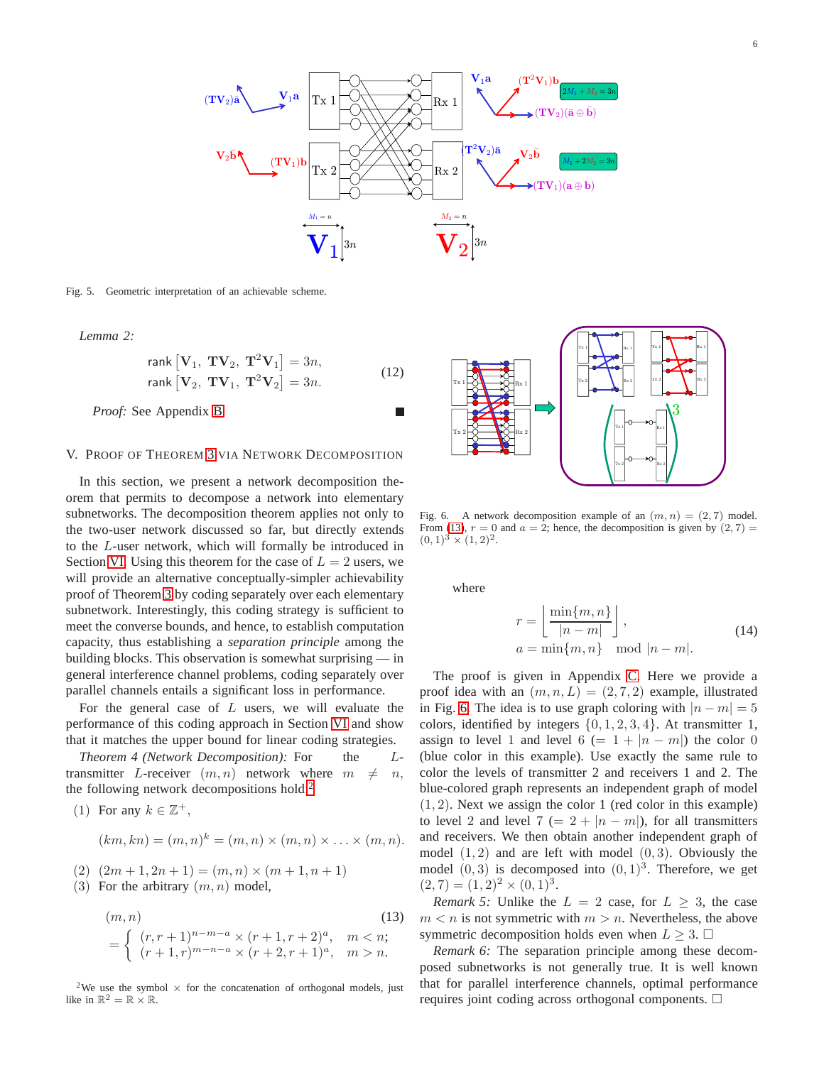

<span id="page-5-0"></span>Fig. 5. Geometric interpretation of an achievable scheme.

*Lemma 2:*

rank 
$$
[\mathbf{V}_1, \mathbf{T}\mathbf{V}_2, \mathbf{T}^2\mathbf{V}_1] = 3n
$$
,  
\nrank  $[\mathbf{V}_2, \mathbf{T}\mathbf{V}_1, \mathbf{T}^2\mathbf{V}_2] = 3n$ .  
\n*Proof:* See Appendix B.

#### V. PROOF OF THEOREM [3](#page-1-5) VIA NETWORK DECOMPOSITION

In this section, we present a network decomposition theorem that permits to decompose a network into elementary subnetworks. The decomposition theorem applies not only to the two-user network discussed so far, but directly extends to the L-user network, which will formally be introduced in Section [VI.](#page-6-0) Using this theorem for the case of  $L = 2$  users, we will provide an alternative conceptually-simpler achievability proof of Theorem [3](#page-1-5) by coding separately over each elementary subnetwork. Interestingly, this coding strategy is sufficient to meet the converse bounds, and hence, to establish computation capacity, thus establishing a *separation principle* among the building blocks. This observation is somewhat surprising — in general interference channel problems, coding separately over parallel channels entails a significant loss in performance.

For the general case of  $L$  users, we will evaluate the performance of this coding approach in Section [VI](#page-6-0) and show that it matches the upper bound for linear coding strategies.

<span id="page-5-4"></span>*Theorem 4 (Network Decomposition):* For the Ltransmitter L-receiver  $(m, n)$  network where  $m \neq n$ , the following network decompositions hold:<sup>[2](#page-5-1)</sup>

(1) For any 
$$
k \in \mathbb{Z}^+
$$
,

$$
(km, kn) = (m, n)k = (m, n) \times (m, n) \times \ldots \times (m, n).
$$

$$
(2) (2m+1, 2n+1) = (m, n) \times (m+1, n+1)
$$

(3) For the arbitrary  $(m, n)$  model,

$$
(m, n)
$$
\n
$$
= \begin{cases}\n(r, r+1)^{n-m-a} \times (r+1, r+2)^a, & m < n; \\
(r+1, r)^{m-n-a} \times (r+2, r+1)^a, & m > n.\n\end{cases}
$$
\n(13)

<span id="page-5-1"></span><sup>2</sup>We use the symbol  $\times$  for the concatenation of orthogonal models, just like in  $\mathbb{R}^2 = \mathbb{R} \times \mathbb{R}$ .

Rx 2 Tx 1 Tx 2 Rx 1 Rx 2 Tx 1 Tx 2 Rx 1 Rx 2 Tx 1 Tx 2 Rx 1 3 Rx 2 Tx 1 Tx 2 Rx 1

<span id="page-5-3"></span>Fig. 6. A network decomposition example of an  $(m, n) = (2, 7)$  model. From [\(13\)](#page-5-2),  $r = 0$  and  $a = 2$ ; hence, the decomposition is given by  $(2, 7) =$  $(0, 1)^3 \times (1, 2)^2$ .

where

<span id="page-5-5"></span>
$$
r = \left\lfloor \frac{\min\{m, n\}}{|n-m|} \right\rfloor,
$$
  
\n
$$
a = \min\{m, n\} \mod |n-m|.
$$
 (14)

The proof is given in Appendix [C.](#page-10-1) Here we provide a proof idea with an  $(m, n, L) = (2, 7, 2)$  example, illustrated in Fig. [6.](#page-5-3) The idea is to use graph coloring with  $|n - m| = 5$ colors, identified by integers  $\{0, 1, 2, 3, 4\}$ . At transmitter 1, assign to level 1 and level 6 (=  $1 + |n - m|$ ) the color 0 (blue color in this example). Use exactly the same rule to color the levels of transmitter 2 and receivers 1 and 2. The blue-colored graph represents an independent graph of model  $(1, 2)$ . Next we assign the color 1 (red color in this example) to level 2 and level 7 (=  $2 + |n - m|$ ), for all transmitters and receivers. We then obtain another independent graph of model  $(1, 2)$  and are left with model  $(0, 3)$ . Obviously the model  $(0, 3)$  is decomposed into  $(0, 1)^3$ . Therefore, we get  $(2, 7) = (1, 2)^2 \times (0, 1)^3.$ 

<span id="page-5-2"></span>*Remark 5:* Unlike the  $L = 2$  case, for  $L \geq 3$ , the case  $m < n$  is not symmetric with  $m > n$ . Nevertheless, the above symmetric decomposition holds even when  $L \geq 3$ .  $\Box$ 

*Remark 6:* The separation principle among these decomposed subnetworks is not generally true. It is well known that for parallel interference channels, optimal performance requires joint coding across orthogonal components.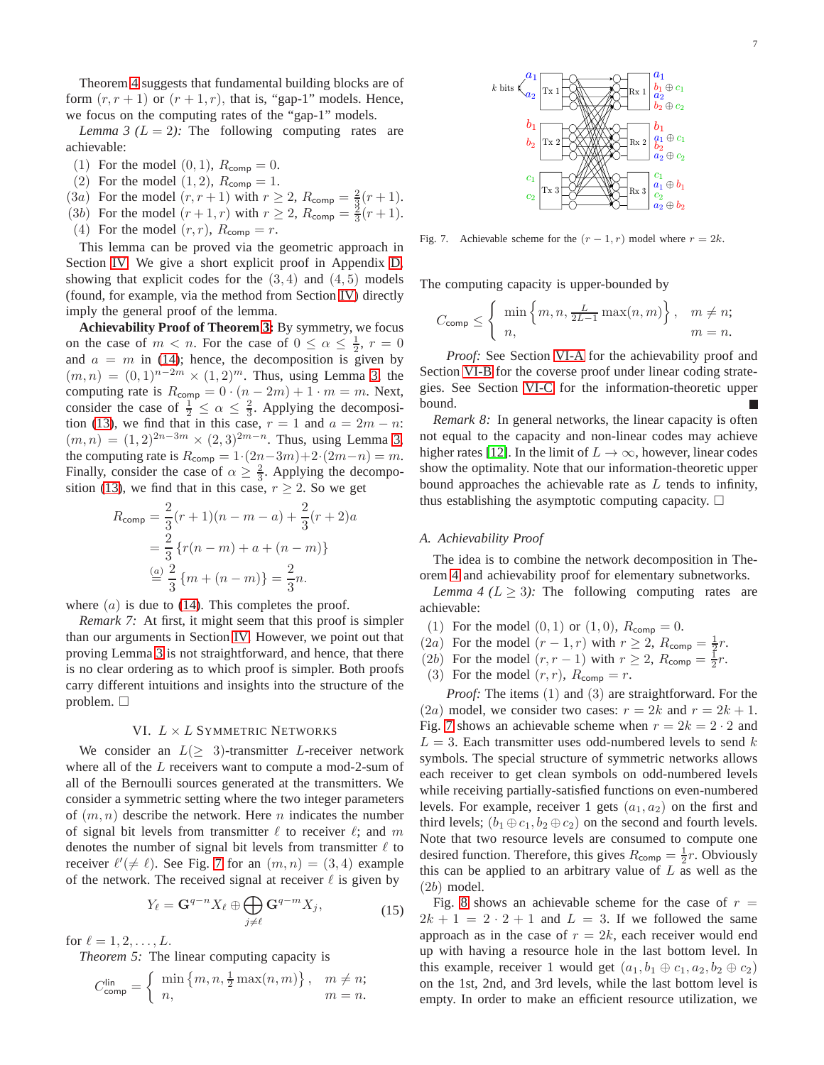Theorem [4](#page-5-4) suggests that fundamental building blocks are of form  $(r, r + 1)$  or  $(r + 1, r)$ , that is, "gap-1" models. Hence, we focus on the computing rates of the "gap-1" models.

<span id="page-6-1"></span>*Lemma 3 (L = 2):* The following computing rates are achievable:

- (1) For the model  $(0, 1)$ ,  $R_{\text{comp}} = 0$ .
- (2) For the model  $(1, 2)$ ,  $R_{\text{comp}} = 1$ .
- (3*a*) For the model  $(r, r + 1)$  with  $r \ge 2$ ,  $R_{\text{comp}} = \frac{2}{3}(r + 1)$ .
- (3b) For the model  $(r+1, r)$  with  $r \ge 2$ ,  $R_{\text{comp}} = \frac{3}{3}(r+1)$ .
- (4) For the model  $(r, r)$ ,  $R_{\text{comp}} = r$ .

This lemma can be proved via the geometric approach in Section [IV.](#page-3-0) We give a short explicit proof in Appendix [D,](#page-10-2) showing that explicit codes for the  $(3, 4)$  and  $(4, 5)$  models (found, for example, via the method from Section [IV\)](#page-3-0) directly imply the general proof of the lemma.

**Achievability Proof of Theorem [3:](#page-1-5)** By symmetry, we focus on the case of  $m < n$ . For the case of  $0 \le \alpha \le \frac{1}{2}$ ,  $r = 0$ and  $a = m$  in [\(14\)](#page-5-5); hence, the decomposition is given by  $(m, n) = (0, 1)^{n-2m} \times (1, 2)^m$ . Thus, using Lemma [3,](#page-6-1) the computing rate is  $R_{\text{comp}} = 0 \cdot (n - 2m) + 1 \cdot m = m$ . Next, consider the case of  $\frac{1}{2} \le \alpha \le \frac{2}{3}$ . Applying the decomposi-tion [\(13\)](#page-5-2), we find that in this case,  $r = 1$  and  $a = 2m - n$ :  $(m, n) = (1, 2)^{2n-3m} \times (2, 3)^{2m-n}$ . Thus, using Lemma [3,](#page-6-1) the computing rate is  $R_{\text{comp}} = 1 \cdot (2n - 3m) + 2 \cdot (2m - n) = m$ . Finally, consider the case of  $\alpha \geq \frac{2}{3}$ . Applying the decompo-sition [\(13\)](#page-5-2), we find that in this case,  $r \geq 2$ . So we get

$$
R_{\text{comp}} = \frac{2}{3}(r+1)(n-m-a) + \frac{2}{3}(r+2)a
$$
  
= 
$$
\frac{2}{3} \{r(n-m) + a + (n-m)\}
$$
  
= 
$$
\frac{(a)}{3} \frac{2}{3} \{m + (n-m)\} = \frac{2}{3}n.
$$

where  $(a)$  is due to [\(14\)](#page-5-5). This completes the proof.

*Remark 7:* At first, it might seem that this proof is simpler than our arguments in Section [IV.](#page-3-0) However, we point out that proving Lemma [3](#page-6-1) is not straightforward, and hence, that there is no clear ordering as to which proof is simpler. Both proofs carry different intuitions and insights into the structure of the problem.  $\square$ 

## VI.  $L \times L$  SYMMETRIC NETWORKS

<span id="page-6-0"></span>We consider an  $L(\geq 3)$ -transmitter L-receiver network where all of the  $L$  receivers want to compute a mod-2-sum of all of the Bernoulli sources generated at the transmitters. We consider a symmetric setting where the two integer parameters of  $(m, n)$  describe the network. Here n indicates the number of signal bit levels from transmitter  $\ell$  to receiver  $\ell$ ; and m denotes the number of signal bit levels from transmitter  $\ell$  to receiver  $\ell'(\neq \ell)$ . See Fig. [7](#page-6-2) for an  $(m, n) = (3, 4)$  example of the network. The received signal at receiver  $\ell$  is given by

$$
Y_{\ell} = \mathbf{G}^{q-n} X_{\ell} \oplus \bigoplus_{j \neq \ell} \mathbf{G}^{q-m} X_j,\tag{15}
$$

for  $\ell = 1, 2, ..., L$ .

*Theorem 5:* The linear computing capacity is

$$
C_{\text{comp}}^{\text{lin}} = \begin{cases} \min \left\{ m, n, \frac{1}{2} \max(n, m) \right\}, & m \neq n; \\ n, & m = n. \end{cases}
$$



<span id="page-6-2"></span>Fig. 7. Achievable scheme for the  $(r - 1, r)$  model where  $r = 2k$ .

The computing capacity is upper-bounded by

$$
C_{\text{comp}} \leq \left\{ \begin{array}{l} \min \left\{ m, n, \frac{L}{2L-1} \max(n, m) \right\}, & m \neq n; \\ n, & m = n. \end{array} \right.
$$

*Proof:* See Section [VI-A](#page-6-3) for the achievability proof and Section [VI-B](#page-7-0) for the coverse proof under linear coding strategies. See Section [VI-C](#page-8-0) for the information-theoretic upper bound.

*Remark 8:* In general networks, the linear capacity is often not equal to the capacity and non-linear codes may achieve higher rates [\[12\]](#page-11-11). In the limit of  $L \to \infty$ , however, linear codes show the optimality. Note that our information-theoretic upper bound approaches the achievable rate as  $L$  tends to infinity, thus establishing the asymptotic computing capacity.  $\Box$ 

#### <span id="page-6-3"></span>*A. Achievability Proof*

The idea is to combine the network decomposition in Theorem [4](#page-5-4) and achievability proof for elementary subnetworks.

<span id="page-6-4"></span>*Lemma 4 (L*  $\geq$  *3):* The following computing rates are achievable:

- (1) For the model  $(0, 1)$  or  $(1, 0)$ ,  $R_{\text{comp}} = 0$ .
- (2*a*) For the model  $(r-1,r)$  with  $r \ge 2$ ,  $R_{\text{comp}} = \frac{1}{2}r$ .
- (2b) For the model  $(r, r 1)$  with  $r \ge 2$ ,  $R_{\text{comp}} = \frac{1}{2}r$ .
- (3) For the model  $(r, r)$ ,  $R_{\text{comp}} = r$ .

*Proof:* The items (1) and (3) are straightforward. For the (2a) model, we consider two cases:  $r = 2k$  and  $r = 2k + 1$ . Fig. [7](#page-6-2) shows an achievable scheme when  $r = 2k = 2 \cdot 2$  and  $L = 3$ . Each transmitter uses odd-numbered levels to send k symbols. The special structure of symmetric networks allows each receiver to get clean symbols on odd-numbered levels while receiving partially-satisfied functions on even-numbered levels. For example, receiver 1 gets  $(a_1, a_2)$  on the first and third levels;  $(b_1 \oplus c_1, b_2 \oplus c_2)$  on the second and fourth levels. Note that two resource levels are consumed to compute one desired function. Therefore, this gives  $R_{\text{comp}} = \frac{1}{2}r$ . Obviously this can be applied to an arbitrary value of  $L$  as well as the (2b) model.

<span id="page-6-5"></span>Fig. [8](#page-7-1) shows an achievable scheme for the case of  $r =$  $2k + 1 = 2 \cdot 2 + 1$  and  $L = 3$ . If we followed the same approach as in the case of  $r = 2k$ , each receiver would end up with having a resource hole in the last bottom level. In this example, receiver 1 would get  $(a_1, b_1 \oplus c_1, a_2, b_2 \oplus c_2)$ on the 1st, 2nd, and 3rd levels, while the last bottom level is empty. In order to make an efficient resource utilization, we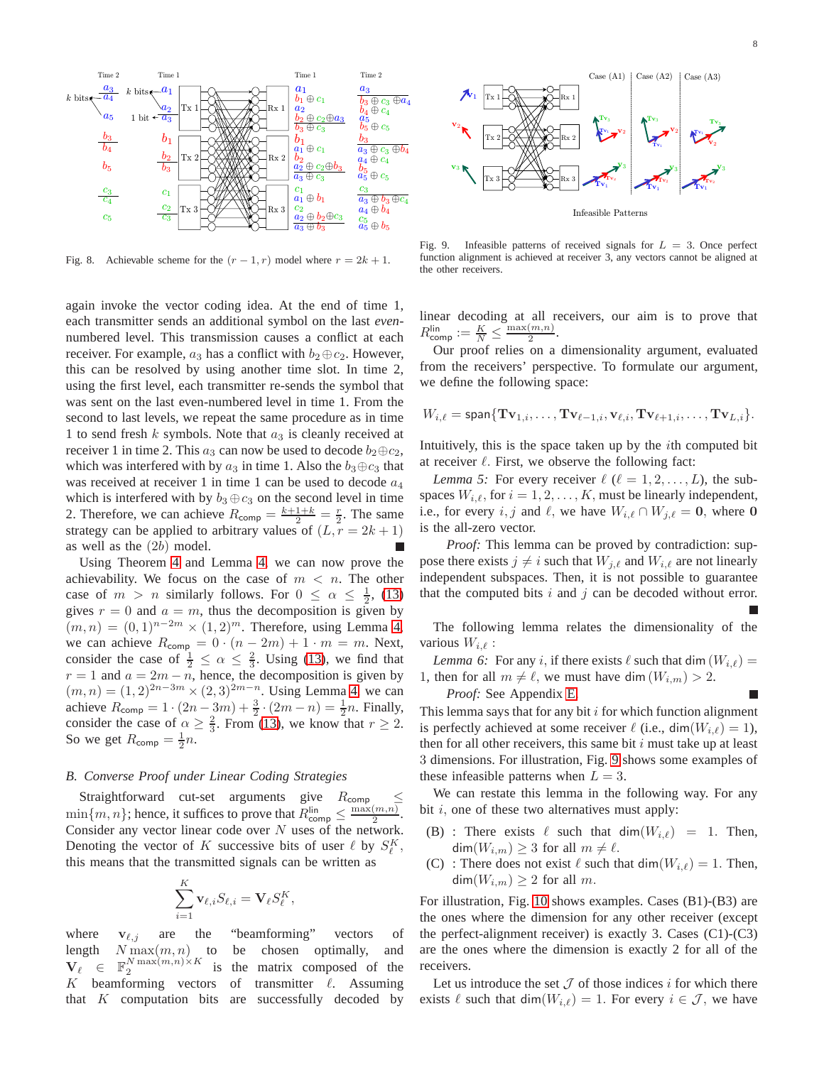

<span id="page-7-1"></span>Fig. 8. Achievable scheme for the  $(r-1, r)$  model where  $r = 2k + 1$ .

again invoke the vector coding idea. At the end of time 1, each transmitter sends an additional symbol on the last *even*numbered level. This transmission causes a conflict at each receiver. For example,  $a_3$  has a conflict with  $b_2 \oplus c_2$ . However, this can be resolved by using another time slot. In time 2, using the first level, each transmitter re-sends the symbol that was sent on the last even-numbered level in time 1. From the second to last levels, we repeat the same procedure as in time 1 to send fresh  $k$  symbols. Note that  $a_3$  is cleanly received at receiver 1 in time 2. This  $a_3$  can now be used to decode  $b_2 \oplus c_2$ , which was interfered with by  $a_3$  in time 1. Also the  $b_3 \oplus c_3$  that was received at receiver 1 in time 1 can be used to decode  $a_4$ which is interfered with by  $b_3 \oplus c_3$  on the second level in time 2. Therefore, we can achieve  $R_{\text{comp}} = \frac{k+1+k}{2} = \frac{r}{2}$ . The same strategy can be applied to arbitrary values of  $(L, r = 2k + 1)$ as well as the (2b) model.

Using Theorem [4](#page-5-4) and Lemma [4,](#page-6-4) we can now prove the achievability. We focus on the case of  $m < n$ . The other case of  $m > n$  similarly follows. For  $0 \le \alpha \le \frac{1}{2}$ , [\(13\)](#page-5-2) gives  $r = 0$  and  $a = m$ , thus the decomposition is given by  $(m, n) = (0, 1)^{n-2m} \times (1, 2)^m$ . Therefore, using Lemma [4,](#page-6-4) we can achieve  $R_{\text{comp}} = 0 \cdot (n - 2m) + 1 \cdot m = m$ . Next, consider the case of  $\frac{1}{2} \le \alpha \le \frac{2}{3}$ . Using [\(13\)](#page-5-2), we find that  $r = 1$  and  $a = 2m - n$ , hence, the decomposition is given by  $(m, n) = (1, 2)^{2n-3m} \times (2, 3)^{2m-n}$ . Using Lemma [4,](#page-6-4) we can achieve  $R_{\text{comp}} = 1 \cdot (2n - 3m) + \frac{3}{2} \cdot (2m - n) = \frac{1}{2}n$ . Finally, consider the case of  $\alpha \geq \frac{2}{3}$ . From [\(13\)](#page-5-2), we know that  $r \geq 2$ . So we get  $R_{\text{comp}} = \frac{1}{2}n$ .

#### <span id="page-7-0"></span>*B. Converse Proof under Linear Coding Strategies*

Straightforward cut-set arguments give  $R_{\text{comp}}$  $\min\{m, n\}$ ; hence, it suffices to prove that  $R_{\text{comp}}^{\text{lin}} \leq \frac{\max(m, n)}{2}$  $\frac{(m,n)}{2}$ . Consider any vector linear code over  $N$  uses of the network. Denoting the vector of K successive bits of user  $\ell$  by  $S_{\ell}^{K}$ , this means that the transmitted signals can be written as

$$
\sum_{i=1}^K \mathbf{v}_{\ell,i} S_{\ell,i} = \mathbf{V}_{\ell} S_{\ell}^K,
$$

where  $v_{\ell, j}$  are the "beamforming" vectors of length  $N \max(m, n)$  to be chosen optimally, and  $V_{\ell}$   $\in$  $N \max(m,n) \times K$ <br>2 is the matrix composed of the  $K$  beamforming vectors of transmitter  $\ell$ . Assuming that  $K$  computation bits are successfully decoded by



<span id="page-7-2"></span>Fig. 9. Infeasible patterns of received signals for  $L = 3$ . Once perfect function alignment is achieved at receiver 3, any vectors cannot be aligned at the other receivers.

linear decoding at all receivers, our aim is to prove that  $R_{\text{comp}}^{\text{lin}} := \frac{K}{N} \leq \frac{\max(m,n)}{2}$  $\frac{(m,n)}{2}$ .

Our proof relies on a dimensionality argument, evaluated from the receivers' perspective. To formulate our argument, we define the following space:

$$
W_{i,\ell} = \text{span}\{\mathbf{Tv}_{1,i},\ldots,\mathbf{Tv}_{\ell-1,i},\mathbf{v}_{\ell,i},\mathbf{Tv}_{\ell+1,i},\ldots,\mathbf{Tv}_{L,i}\}.
$$

<span id="page-7-4"></span>Intuitively, this is the space taken up by the ith computed bit at receiver  $\ell$ . First, we observe the following fact:

*Lemma 5:* For every receiver  $\ell$  ( $\ell = 1, 2, ..., L$ ), the subspaces  $W_{i,\ell}$ , for  $i = 1, 2, ..., K$ , must be linearly independent, i.e., for every i, j and  $\ell$ , we have  $W_{i,\ell} \cap W_{j,\ell} = 0$ , where 0 is the all-zero vector.

*Proof:* This lemma can be proved by contradiction: suppose there exists  $j \neq i$  such that  $W_{j,\ell}$  and  $W_{i,\ell}$  are not linearly independent subspaces. Then, it is not possible to guarantee that the computed bits  $i$  and  $j$  can be decoded without error.

The following lemma relates the dimensionality of the various  $W_{i,\ell}$ :

*Lemma 6:* For any i, if there exists  $\ell$  such that dim  $(W_{i,\ell}) =$ 1, then for all  $m \neq \ell$ , we must have dim $(W_{i,m}) > 2$ .

<span id="page-7-3"></span>*Proof:* See Appendix [E.](#page-11-19)

This lemma says that for any bit  $i$  for which function alignment is perfectly achieved at some receiver  $\ell$  (i.e., dim $(W_{i,\ell}) = 1$ ), then for all other receivers, this same bit  $i$  must take up at least 3 dimensions. For illustration, Fig. [9](#page-7-2) shows some examples of these infeasible patterns when  $L = 3$ .

We can restate this lemma in the following way. For any bit  $i$ , one of these two alternatives must apply:

- (B) : There exists  $\ell$  such that  $\dim(W_{i,\ell}) = 1$ . Then,  $\dim(W_{i,m}) \geq 3$  for all  $m \neq \ell$ .
- (C) : There does not exist  $\ell$  such that dim $(W_{i,\ell}) = 1$ . Then,  $\dim(W_{i,m}) \geq 2$  for all m.

For illustration, Fig. [10](#page-8-1) shows examples. Cases (B1)-(B3) are the ones where the dimension for any other receiver (except the perfect-alignment receiver) is exactly 3. Cases  $(C1)-(C3)$ are the ones where the dimension is exactly 2 for all of the receivers.

Let us introduce the set  $J$  of those indices i for which there exists  $\ell$  such that dim $(W_{i,\ell}) = 1$ . For every  $i \in \mathcal{J}$ , we have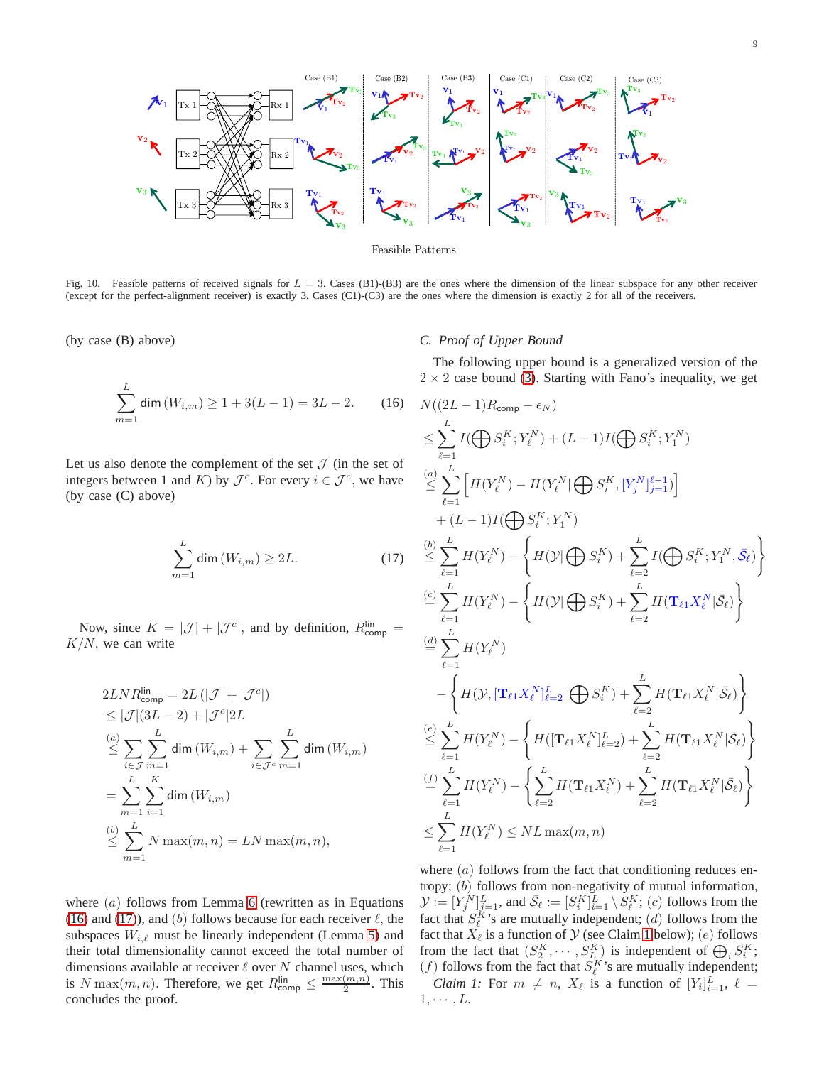

<span id="page-8-1"></span>Fig. 10. Feasible patterns of received signals for  $L = 3$ . Cases (B1)-(B3) are the ones where the dimension of the linear subspace for any other receiver (except for the perfect-alignment receiver) is exactly 3. Cases (C1)-(C3) are the ones where the dimension is exactly 2 for all of the receivers.

(by case (B) above)

$$
\sum_{m=1}^{L} \dim(W_{i,m}) \ge 1 + 3(L-1) = 3L - 2. \tag{16}
$$

Let us also denote the complement of the set  $\mathcal J$  (in the set of integers between 1 and K) by  $\mathcal{J}^c$ . For every  $i \in \mathcal{J}^c$ , we have (by case (C) above)

$$
\sum_{m=1}^{L} \dim(W_{i,m}) \ge 2L. \tag{17}
$$

Now, since  $K = |\mathcal{J}| + |\mathcal{J}^c|$ , and by definition,  $R_{\text{comp}}^{\text{lin}} =$  $K/N$ , we can write

$$
2LNRlincomp = 2L (|\mathcal{J}| + |\mathcal{J}^c|)
$$
  
\n
$$
\leq |\mathcal{J}|(3L - 2) + |\mathcal{J}^c|2L
$$
  
\n
$$
\leq \sum_{i \in \mathcal{J}} \sum_{m=1}^{L} \dim (W_{i,m}) + \sum_{i \in \mathcal{J}^c} \sum_{m=1}^{L} \dim (W_{i,m})
$$
  
\n
$$
= \sum_{m=1}^{L} \sum_{i=1}^{K} \dim (W_{i,m})
$$
  
\n
$$
\leq \sum_{m=1}^{L} N \max(m, n) = LN \max(m, n),
$$

where  $(a)$  follows from Lemma [6](#page-7-3) (rewritten as in Equations [\(16\)](#page-8-2) and [\(17\)](#page-8-3)), and (b) follows because for each receiver  $\ell$ , the subspaces  $W_{i,\ell}$  must be linearly independent (Lemma [5\)](#page-7-4) and their total dimensionality cannot exceed the total number of dimensions available at receiver  $\ell$  over  $N$  channel uses, which is N max $(m, n)$ . Therefore, we get  $R_{\text{comp}}^{\text{lin}} \leq \frac{\max(m, n)}{2}$  $\frac{(m,n)}{2}$ . This concludes the proof.

# <span id="page-8-0"></span>*C. Proof of Upper Bound*

The following upper bound is a generalized version of the  $2 \times 2$  case bound [\(3\)](#page-1-3). Starting with Fano's inequality, we get

<span id="page-8-3"></span><span id="page-8-2"></span>
$$
N((2L-1)R_{\text{comp}} - \epsilon_N)
$$
\n
$$
\leq \sum_{\ell=1}^{L} I(\bigoplus S_i^K; Y_i^N) + (L-1)I(\bigoplus S_i^K; Y_1^N)
$$
\n
$$
\stackrel{(a)}{\leq} \sum_{\ell=1}^{L} \left[ H(Y_{\ell}^N) - H(Y_{\ell}^N | \bigoplus S_i^K, [Y_j^N]_{j=1}^{\ell-1}) \right]
$$
\n
$$
+ (L-1)I(\bigoplus S_i^K; Y_1^N)
$$
\n
$$
\stackrel{(b)}{\leq} \sum_{\ell=1}^{L} H(Y_{\ell}^N) - \left\{ H(\mathcal{Y} | \bigoplus S_i^K) + \sum_{\ell=2}^{L} I(\bigoplus S_i^K; Y_1^N, \bar{S}_{\ell}) \right\}
$$
\n
$$
\stackrel{(d)}{=} \sum_{\ell=1}^{L} H(Y_{\ell}^N)
$$
\n
$$
- \left\{ H(\mathcal{Y} | \bigoplus S_i^K) + \sum_{\ell=2}^{L} H(\mathbf{T}_{\ell 1} X_{\ell}^N | \bar{S}_{\ell}) \right\}
$$
\n
$$
\stackrel{(d)}{=} \sum_{\ell=1}^{L} H(Y_{\ell}^N)
$$
\n
$$
- \left\{ H(\mathcal{Y}, [\mathbf{T}_{\ell 1} X_{\ell}^N]_{\ell=2}^L | \bigoplus S_i^K) + \sum_{\ell=2}^{L} H(\mathbf{T}_{\ell 1} X_{\ell}^N | \bar{S}_{\ell}) \right\}
$$
\n
$$
\stackrel{(e)}{\leq} \sum_{\ell=1}^{L} H(Y_{\ell}^N) - \left\{ H([\mathbf{T}_{\ell 1} X_{\ell}^N]_{\ell=2}^L) + \sum_{\ell=2}^{L} H(\mathbf{T}_{\ell 1} X_{\ell}^N | \bar{S}_{\ell}) \right\}
$$
\n
$$
\stackrel{(f)}{=} \sum_{\ell=1}^{L} H(Y_{\ell}^N) - \left\{ \sum_{\ell=2}^{L} H(\mathbf{T}_{\ell 1} X_{\ell}^N) + \sum_{\ell=2}^{L} H(\mathbf{T}_{\ell 1} X_{\ell}^N | \bar{S}_{\ell}) \right\}
$$
\n<

<span id="page-8-4"></span>where  $(a)$  follows from the fact that conditioning reduces entropy; (b) follows from non-negativity of mutual information,  $\mathcal{Y} := [Y_j^N]_{j=1}^L$ , and  $\bar{\mathcal{S}}_\ell := [S_i^K]_{i=1}^L \setminus S_\ell^K$ ;  $(c)$  follows from the fact that  $S_{\ell}^{K}$ 's are mutually independent; (*d*) follows from the fact that  $X_{\ell}$  is a function of  $\mathcal Y$  (see Claim [1](#page-8-4) below); (e) follows from the fact that  $(S_2^K, \dots, S_{L_i}^K)$  is independent of  $\bigoplus_i S_i^K$ ; (*f*) follows from the fact that  $S_{\ell}^{K}$ 's are mutually independent; *Claim 1:* For  $m \neq n$ ,  $X_{\ell}$  is a function of  $[Y_{i}]_{i=1}^{L}$ ,  $\ell =$  $1, \cdots, L$ .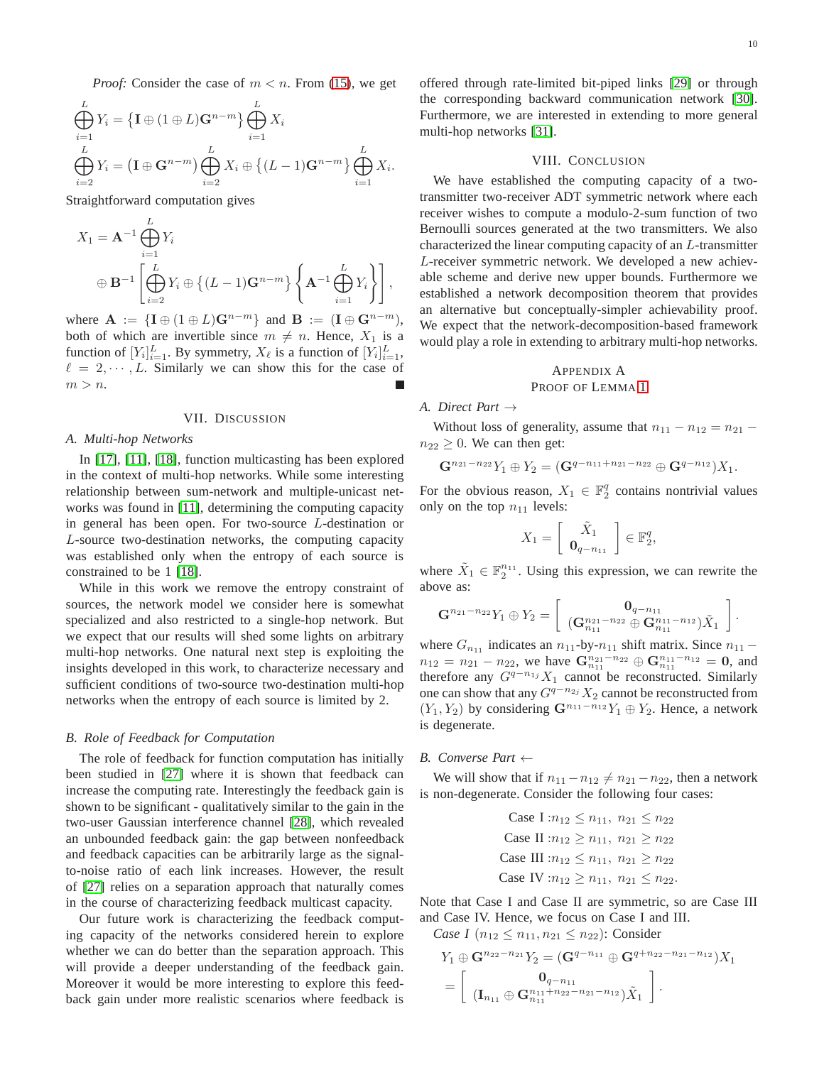*Proof:* Consider the case of  $m < n$ . From [\(15\)](#page-6-5), we get

$$
\bigoplus_{i=1}^{L} Y_i = \left\{ \mathbf{I} \oplus (1 \oplus L) \mathbf{G}^{n-m} \right\} \bigoplus_{i=1}^{L} X_i
$$
\n
$$
\bigoplus_{i=2}^{L} Y_i = \left( \mathbf{I} \oplus \mathbf{G}^{n-m} \right) \bigoplus_{i=2}^{L} X_i \oplus \left\{ (L-1) \mathbf{G}^{n-m} \right\} \bigoplus_{i=1}^{L} X_i.
$$

Straightforward computation gives

$$
X_1 = \mathbf{A}^{-1} \bigoplus_{i=1}^{L} Y_i
$$
  

$$
\oplus \mathbf{B}^{-1} \left[ \bigoplus_{i=2}^{L} Y_i \oplus \left\{ (L-1) \mathbf{G}^{n-m} \right\} \left\{ \mathbf{A}^{-1} \bigoplus_{i=1}^{L} Y_i \right\} \right],
$$

where  $\mathbf{A} := \{ \mathbf{I} \oplus (1 \oplus L) \mathbf{G}^{n-m} \}$  and  $\mathbf{B} := (\mathbf{I} \oplus \mathbf{G}^{n-m}),$ both of which are invertible since  $m \neq n$ . Hence,  $X_1$  is a function of  $[Y_i]_{i=1}^L$ . By symmetry,  $X_{\ell}$  is a function of  $[Y_i]_{i=1}^L$ ,  $\ell = 2, \dots, L$ . Similarly we can show this for the case of  $m > n$ .

#### VII. DISCUSSION

#### *A. Multi-hop Networks*

In [\[17\]](#page-11-16), [\[11\]](#page-11-10), [\[18\]](#page-11-17), function multicasting has been explored in the context of multi-hop networks. While some interesting relationship between sum-network and multiple-unicast networks was found in [\[11\]](#page-11-10), determining the computing capacity in general has been open. For two-source L-destination or L-source two-destination networks, the computing capacity was established only when the entropy of each source is constrained to be 1 [\[18\]](#page-11-17).

While in this work we remove the entropy constraint of sources, the network model we consider here is somewhat specialized and also restricted to a single-hop network. But we expect that our results will shed some lights on arbitrary multi-hop networks. One natural next step is exploiting the insights developed in this work, to characterize necessary and sufficient conditions of two-source two-destination multi-hop networks when the entropy of each source is limited by 2.

#### *B. Role of Feedback for Computation*

The role of feedback for function computation has initially been studied in [\[27\]](#page-12-7) where it is shown that feedback can increase the computing rate. Interestingly the feedback gain is shown to be significant - qualitatively similar to the gain in the two-user Gaussian interference channel [\[28\]](#page-12-8), which revealed an unbounded feedback gain: the gap between nonfeedback and feedback capacities can be arbitrarily large as the signalto-noise ratio of each link increases. However, the result of [\[27\]](#page-12-7) relies on a separation approach that naturally comes in the course of characterizing feedback multicast capacity.

Our future work is characterizing the feedback computing capacity of the networks considered herein to explore whether we can do better than the separation approach. This will provide a deeper understanding of the feedback gain. Moreover it would be more interesting to explore this feedback gain under more realistic scenarios where feedback is offered through rate-limited bit-piped links [\[29\]](#page-12-9) or through the corresponding backward communication network [\[30\]](#page-12-10). Furthermore, we are interested in extending to more general multi-hop networks [\[31\]](#page-12-11).

#### VIII. CONCLUSION

We have established the computing capacity of a twotransmitter two-receiver ADT symmetric network where each receiver wishes to compute a modulo-2-sum function of two Bernoulli sources generated at the two transmitters. We also characterized the linear computing capacity of an L-transmitter L-receiver symmetric network. We developed a new achievable scheme and derive new upper bounds. Furthermore we established a network decomposition theorem that provides an alternative but conceptually-simpler achievability proof. We expect that the network-decomposition-based framework would play a role in extending to arbitrary multi-hop networks.

# <span id="page-9-0"></span>APPENDIX A PROOF OF LEMMA [1](#page-1-6)

# *A. Direct Part* →

Without loss of generality, assume that  $n_{11} - n_{12} = n_{21}$  $n_{22} \geq 0$ . We can then get:

$$
\mathbf{G}^{n_{21}-n_{22}}Y_1 \oplus Y_2 = (\mathbf{G}^{q-n_{11}+n_{21}-n_{22}} \oplus \mathbf{G}^{q-n_{12}})X_1.
$$

For the obvious reason,  $X_1 \in \mathbb{F}_2^q$  contains nontrivial values only on the top  $n_{11}$  levels:

$$
X_1 = \left[ \begin{array}{c} \tilde{X}_1 \\ \mathbf{0}_{q-n_{11}} \end{array} \right] \in \mathbb{F}_2^q,
$$

where  $\tilde{X}_1 \in \mathbb{F}_2^{n_{11}}$ . Using this expression, we can rewrite the above as:

$$
\mathbf{G}^{n_{21}-n_{22}}Y_1 \oplus Y_2 = \left[ \begin{array}{c} \mathbf{0}_{q-n_{11}} \\ (\mathbf{G}_{n_{11}}^{n_{21}-n_{22}} \oplus \mathbf{G}_{n_{11}}^{n_{11}-n_{12}}) \tilde{X}_1 \end{array} \right].
$$

where  $G_{n_{11}}$  indicates an  $n_{11}$ -by- $n_{11}$  shift matrix. Since  $n_{11}$  –  $n_{12} = n_{21} - n_{22}$ , we have  $\mathbf{G}_{n_{11}}^{n_{21} - n_{22}} \oplus \mathbf{G}_{n_{11}}^{n_{11} - n_{12}} = \mathbf{0}$ , and therefore any  $G^{q-n_1j}X_1$  cannot be reconstructed. Similarly one can show that any  $G^{q-n_{2j}}X_2$  cannot be reconstructed from  $(Y_1, Y_2)$  by considering  $\mathbf{G}^{n_{11}-n_{12}}Y_1 \oplus Y_2$ . Hence, a network is degenerate.

#### *B. Converse Part* ←

We will show that if  $n_{11} - n_{12} \neq n_{21} - n_{22}$ , then a network is non-degenerate. Consider the following four cases:

Case I: 
$$
n_{12} \le n_{11}
$$
,  $n_{21} \le n_{22}$   
Case II:  $n_{12} \ge n_{11}$ ,  $n_{21} \ge n_{22}$   
Case III:  $n_{12} \le n_{11}$ ,  $n_{21} \ge n_{22}$   
Case IV:  $n_{12} \ge n_{11}$ ,  $n_{21} \le n_{22}$ .

Note that Case I and Case II are symmetric, so are Case III and Case IV. Hence, we focus on Case I and III.

*Case I* ( $n_{12} \leq n_{11}, n_{21} \leq n_{22}$ ): Consider

$$
Y_1 \oplus \mathbf{G}^{n_{22}-n_{21}} Y_2 = (\mathbf{G}^{q-n_{11}} \oplus \mathbf{G}^{q+n_{22}-n_{21}-n_{12}}) X_1
$$
  
= 
$$
\begin{bmatrix} \mathbf{0}_{q-n_{11}} \\ (\mathbf{I}_{n_{11}} \oplus \mathbf{G}_{n_{11}}^{n_{11}+n_{22}-n_{21}-n_{12}}) \tilde{X}_1 \end{bmatrix}.
$$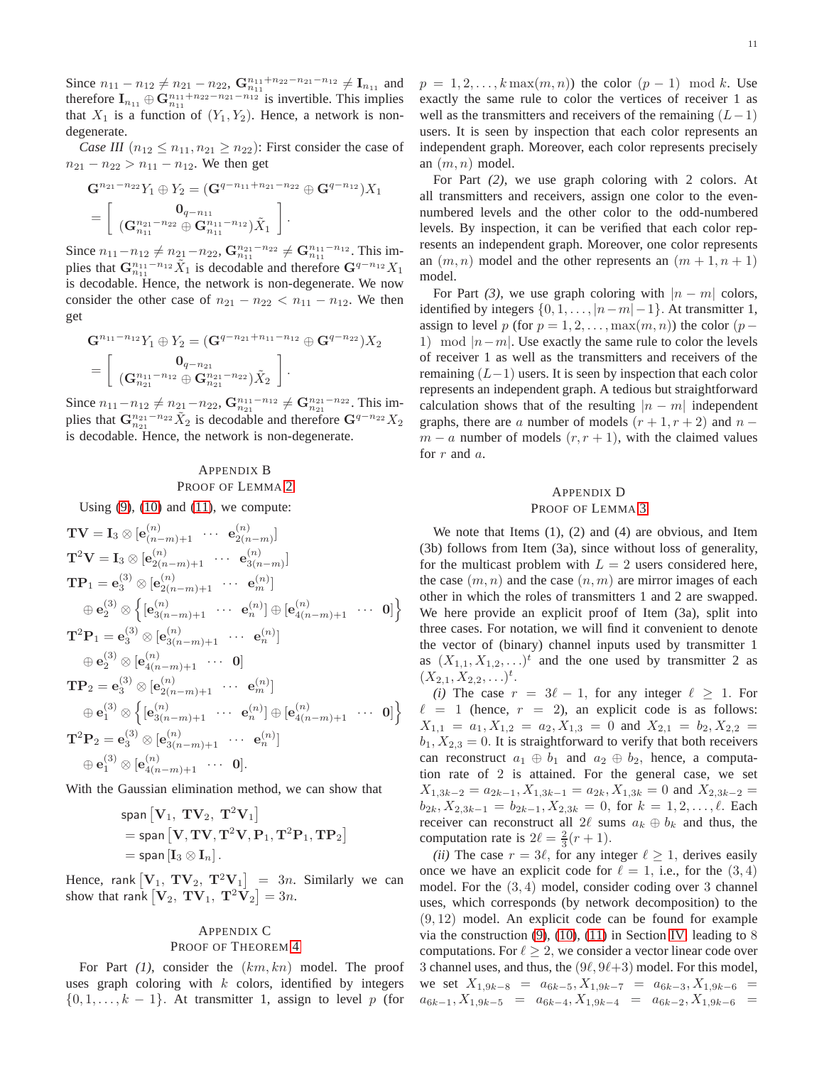Since  $n_{11} - n_{12} \neq n_{21} - n_{22}$ ,  $\mathbf{G}_{n_{11}}^{n_{11} + n_{22} - n_{21} - n_{12}} \neq \mathbf{I}_{n_{11}}$  and therefore  $I_{n_{11}} \oplus G_{n_{11}}^{n_{11}+n_{22}-n_{21}-n_{12}}$  is invertible. This implies that  $X_1$  is a function of  $(Y_1, Y_2)$ . Hence, a network is nondegenerate.

*Case III*  $(n_{12} \leq n_{11}, n_{21} \geq n_{22})$ : First consider the case of  $n_{21} - n_{22} > n_{11} - n_{12}$ . We then get

$$
\mathbf{G}^{n_{21}-n_{22}}Y_1 \oplus Y_2 = (\mathbf{G}^{q-n_{11}+n_{21}-n_{22}} \oplus \mathbf{G}^{q-n_{12}})X_1
$$
  
= 
$$
\begin{bmatrix} \mathbf{0}_{q-n_{11}} & \cdots & \cdots & \cdots & \cdots \\ (\mathbf{G}^{n_{21}-n_{22}}_{n_{11}} \oplus \mathbf{G}^{n_{11}-n_{12}}_{n_{11}}) \tilde{X}_1 \end{bmatrix}.
$$

Since  $n_{11}-n_{12} \neq n_{21}-n_{22}$ ,  $\mathbf{G}_{n_{11}}^{n_{21}-n_{22}} \neq \mathbf{G}_{n_{11}}^{n_{11}-n_{12}}$ . This implies that  $\mathbf{G}_{n_{11}}^{n_{11}-n_{12}} \tilde{X}_1$  is decodable and therefore  $\mathbf{G}^{q-n_{12}} X_1$ is decodable. Hence, the network is non-degenerate. We now consider the other case of  $n_{21} - n_{22} < n_{11} - n_{12}$ . We then get

$$
\mathbf{G}^{n_{11}-n_{12}}Y_1 \oplus Y_2 = (\mathbf{G}^{q-n_{21}+n_{11}-n_{12}} \oplus \mathbf{G}^{q-n_{22}})X_2
$$
  
= 
$$
\begin{bmatrix} \mathbf{0}_{q-n_{21}} & \cdots & \cdots & \cdots \\ (\mathbf{G}_{n_{21}}^{n_{11}-n_{12}} \oplus \mathbf{G}_{n_{21}}^{n_{21}-n_{22}})X_2 \end{bmatrix}.
$$

Since  $n_{11}-n_{12} \neq n_{21}-n_{22}$ ,  $\mathbf{G}_{n_{21}}^{n_{11}-n_{12}} \neq \mathbf{G}_{n_{21}}^{n_{21}-n_{22}}$ . This implies that  $\mathbf{G}_{n_{21}}^{n_{21}-n_{22}} \tilde{X}_2$  is decodable and therefore  $\mathbf{G}^{q-n_{22}} X_2$ is decodable. Hence, the network is non-degenerate.

# <span id="page-10-0"></span>APPENDIX B PROOF OF LEMMA [2](#page-4-2)

Using  $(9)$ ,  $(10)$  and  $(11)$ , we compute:

$$
\mathbf{TV} = \mathbf{I}_3 \otimes [\mathbf{e}_{(n-m)+1}^{(n)} \cdots \mathbf{e}_{2(n-m)}^{(n)}]
$$
\n
$$
\mathbf{T}^2 \mathbf{V} = \mathbf{I}_3 \otimes [\mathbf{e}_{2(n-m)+1}^{(n)} \cdots \mathbf{e}_{3(n-m)}^{(n)}]
$$
\n
$$
\mathbf{TP}_1 = \mathbf{e}_3^{(3)} \otimes [\mathbf{e}_{2(n-m)+1}^{(n)} \cdots \mathbf{e}_m^{(n)}]
$$
\n
$$
\oplus \mathbf{e}_2^{(3)} \otimes \left\{ [\mathbf{e}_{3(n-m)+1}^{(n)} \cdots \mathbf{e}_n^{(n)}] \oplus [\mathbf{e}_{4(n-m)+1}^{(n)} \cdots \mathbf{0}] \right\}
$$
\n
$$
\mathbf{T}^2 \mathbf{P}_1 = \mathbf{e}_3^{(3)} \otimes [\mathbf{e}_{3(n-m)+1}^{(n)} \cdots \mathbf{e}_n^{(n)}]
$$
\n
$$
\oplus \mathbf{e}_2^{(3)} \otimes [\mathbf{e}_{4(n-m)+1}^{(n)} \cdots \mathbf{0}]
$$
\n
$$
\mathbf{TP}_2 = \mathbf{e}_3^{(3)} \otimes [\mathbf{e}_{2(n-m)+1}^{(n)} \cdots \mathbf{e}_m^{(n)}]
$$
\n
$$
\oplus \mathbf{e}_1^{(3)} \otimes \left\{ [\mathbf{e}_{3(n-m)+1}^{(n)} \cdots \mathbf{e}_n^{(n)}] \oplus [\mathbf{e}_{4(n-m)+1}^{(n)} \cdots \mathbf{0}] \right\}
$$
\n
$$
\mathbf{T}^2 \mathbf{P}_2 = \mathbf{e}_3^{(3)} \otimes [\mathbf{e}_{3(n-m)+1}^{(n)} \cdots \mathbf{e}_n^{(n)}]
$$
\n
$$
\oplus \mathbf{e}_1^{(3)} \otimes [\mathbf{e}_{4(n-m)+1}^{(n)} \cdots \mathbf{0}].
$$

With the Gaussian elimination method, we can show that

$$
\begin{aligned} &\text{span}\left[\mathbf{V}_1, \ \mathbf{T}\mathbf{V}_2, \ \mathbf{T}^2\mathbf{V}_1\right] \\ &= \text{span}\left[\mathbf{V}, \mathbf{T}\mathbf{V}, \mathbf{T}^2\mathbf{V}, \mathbf{P}_1, \mathbf{T}^2\mathbf{P}_1, \mathbf{T}\mathbf{P}_2\right] \\ &= \text{span}\left[\mathbf{I}_3 \otimes \mathbf{I}_n\right]. \end{aligned}
$$

Hence, rank  $[\mathbf{V}_1, \mathbf{T} \mathbf{V}_2, \mathbf{T}^2 \mathbf{V}_1] = 3n$ . Similarly we can show that rank  $[\mathbf{V}_2, \mathbf{T} \mathbf{V}_1, \mathbf{T}^2 \mathbf{V}_2] = 3n$ .

# <span id="page-10-1"></span>APPENDIX C PROOF OF THEOREM [4](#page-5-4)

For Part (1), consider the  $(km, kn)$  model. The proof uses graph coloring with  $k$  colors, identified by integers  $\{0, 1, \ldots, k - 1\}$ . At transmitter 1, assign to level p (for  $p = 1, 2, \ldots, k \max(m, n)$  the color  $(p - 1) \mod k$ . Use exactly the same rule to color the vertices of receiver 1 as well as the transmitters and receivers of the remaining  $(L-1)$ users. It is seen by inspection that each color represents an independent graph. Moreover, each color represents precisely an  $(m, n)$  model.

For Part *(2)*, we use graph coloring with 2 colors. At all transmitters and receivers, assign one color to the evennumbered levels and the other color to the odd-numbered levels. By inspection, it can be verified that each color represents an independent graph. Moreover, one color represents an  $(m, n)$  model and the other represents an  $(m + 1, n + 1)$ model.

For Part (3), we use graph coloring with  $|n - m|$  colors, identified by integers  $\{0, 1, \ldots, |n-m|-1\}$ . At transmitter 1, assign to level p (for  $p = 1, 2, \ldots, \max(m, n)$ ) the color (p – 1) mod  $|n-m|$ . Use exactly the same rule to color the levels of receiver 1 as well as the transmitters and receivers of the remaining  $(L-1)$  users. It is seen by inspection that each color represents an independent graph. A tedious but straightforward calculation shows that of the resulting  $|n - m|$  independent graphs, there are a number of models  $(r + 1, r + 2)$  and  $n$  $m - a$  number of models  $(r, r + 1)$ , with the claimed values for r and a.

# <span id="page-10-2"></span>APPENDIX D PROOF OF LEMMA [3](#page-6-1)

We note that Items  $(1)$ ,  $(2)$  and  $(4)$  are obvious, and Item (3b) follows from Item (3a), since without loss of generality, for the multicast problem with  $L = 2$  users considered here, the case  $(m, n)$  and the case  $(n, m)$  are mirror images of each other in which the roles of transmitters 1 and 2 are swapped. We here provide an explicit proof of Item (3a), split into three cases. For notation, we will find it convenient to denote the vector of (binary) channel inputs used by transmitter 1 as  $(X_{1,1}, X_{1,2}, \ldots)^t$  and the one used by transmitter 2 as  $(X_{2,1}, X_{2,2}, \ldots)^t$ .

*(i)* The case  $r = 3\ell - 1$ , for any integer  $\ell \geq 1$ . For  $\ell = 1$  (hence,  $r = 2$ ), an explicit code is as follows:  $X_{1,1} = a_1, X_{1,2} = a_2, X_{1,3} = 0$  and  $X_{2,1} = b_2, X_{2,2} =$  $b_1, X_{2,3} = 0$ . It is straightforward to verify that both receivers can reconstruct  $a_1 \oplus b_1$  and  $a_2 \oplus b_2$ , hence, a computation rate of 2 is attained. For the general case, we set  $X_{1,3k-2} = a_{2k-1}, X_{1,3k-1} = a_{2k}, X_{1,3k} = 0$  and  $X_{2,3k-2} =$  $b_{2k}$ ,  $X_{2,3k-1} = b_{2k-1}$ ,  $X_{2,3k} = 0$ , for  $k = 1, 2, \ldots, \ell$ . Each receiver can reconstruct all 2 $\ell$  sums  $a_k \oplus b_k$  and thus, the computation rate is  $2\ell = \frac{2}{3}(r+1)$ .

*(ii)* The case  $r = 3\ell$ , for any integer  $\ell \geq 1$ , derives easily once we have an explicit code for  $\ell = 1$ , i.e., for the  $(3, 4)$ model. For the (3, 4) model, consider coding over 3 channel uses, which corresponds (by network decomposition) to the  $(9, 12)$  model. An explicit code can be found for example via the construction  $(9)$ ,  $(10)$ ,  $(11)$  in Section [IV,](#page-3-0) leading to 8 computations. For  $\ell \geq 2$ , we consider a vector linear code over 3 channel uses, and thus, the  $(9\ell, 9\ell+3)$  model. For this model, we set  $X_{1,9k-8} = a_{6k-5}, X_{1,9k-7} = a_{6k-3}, X_{1,9k-6} =$  $a_{6k-1}$ ,  $X_{1,9k-5}$  =  $a_{6k-4}$ ,  $X_{1,9k-4}$  =  $a_{6k-2}$ ,  $X_{1,9k-6}$  =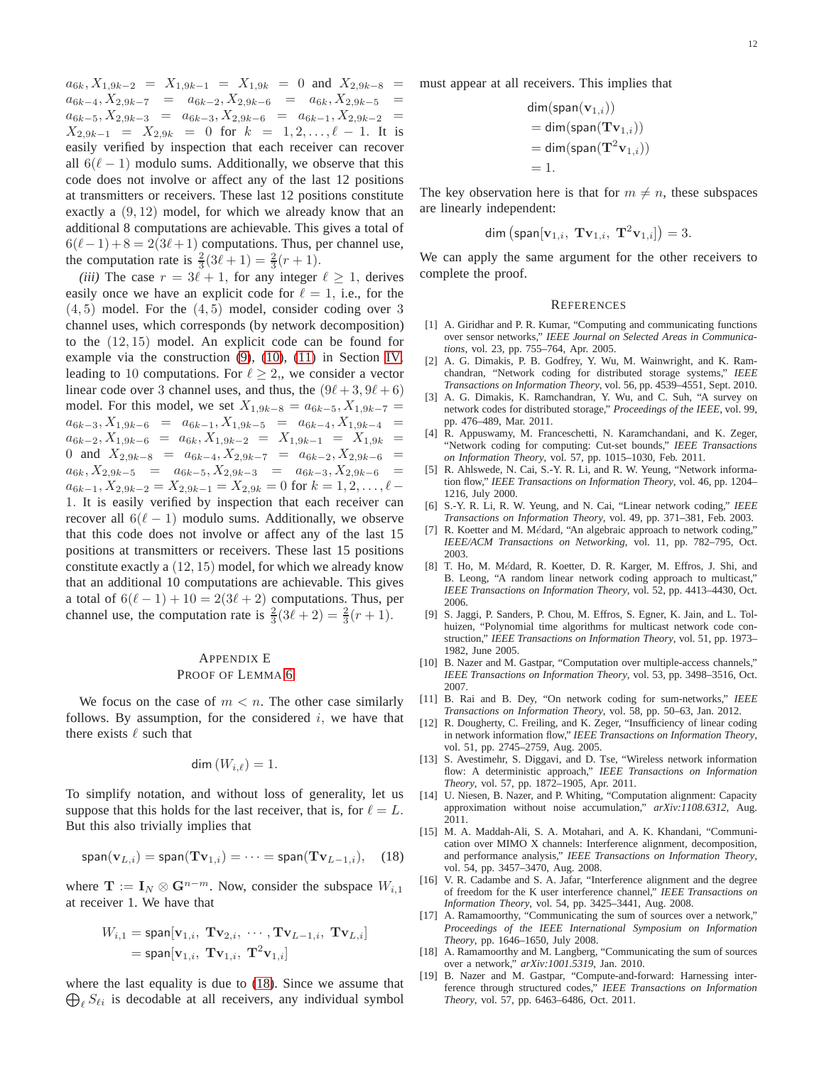$a_{6k}$ ,  $X_{1,9k-2} = X_{1,9k-1} = X_{1,9k} = 0$  and  $X_{2,9k-8} =$  $a_{6k-4}, X_{2,9k-7} = a_{6k-2}, X_{2,9k-6} = a_{6k}, X_{2,9k-5}$  $a_{6k-5}, X_{2,9k-3} = a_{6k-3}, X_{2,9k-6} = a_{6k-1}, X_{2,9k-2} =$  $X_{2,9k-1} = X_{2,9k} = 0$  for  $k = 1,2,...,\ell - 1$ . It is easily verified by inspection that each receiver can recover all  $6(\ell-1)$  modulo sums. Additionally, we observe that this code does not involve or affect any of the last 12 positions at transmitters or receivers. These last 12 positions constitute exactly a (9, 12) model, for which we already know that an additional 8 computations are achievable. This gives a total of  $6(\ell-1)+8=2(3\ell+1)$  computations. Thus, per channel use, the computation rate is  $\frac{2}{3}(3\ell + 1) = \frac{2}{3}(r + 1)$ .

*(iii)* The case  $r = 3\ell + 1$ , for any integer  $\ell \geq 1$ , derives easily once we have an explicit code for  $\ell = 1$ , i.e., for the  $(4, 5)$  model. For the  $(4, 5)$  model, consider coding over 3 channel uses, which corresponds (by network decomposition) to the (12, 15) model. An explicit code can be found for example via the construction [\(9\)](#page-4-3), [\(10\)](#page-4-4), [\(11\)](#page-4-5) in Section [IV,](#page-3-0) leading to 10 computations. For  $\ell \geq 2$ , we consider a vector linear code over 3 channel uses, and thus, the  $(9\ell + 3, 9\ell + 6)$ model. For this model, we set  $X_{1,9k-8} = a_{6k-5}, X_{1,9k-7} =$  $a_{6k-3}, X_{1,9k-6} = a_{6k-1}, X_{1,9k-5} = a_{6k-4}, X_{1,9k-4} =$  $a_{6k-2}$ ,  $X_{1,9k-6} = a_{6k}$ ,  $X_{1,9k-2} = X_{1,9k-1} = X_{1,9k} =$ 0 and  $X_{2,9k-8} = a_{6k-4}, X_{2,9k-7} = a_{6k-2}, X_{2,9k-6} =$  $a_{6k}$ ,  $X_{2,9k-5}$  =  $a_{6k-5}$ ,  $X_{2,9k-3}$  =  $a_{6k-3}$ ,  $X_{2,9k-6}$  =  $a_{6k-1}, X_{2,9k-2} = X_{2,9k-1} = X_{2,9k} = 0$  for  $k = 1, 2, ..., \ell$ 1. It is easily verified by inspection that each receiver can recover all  $6(\ell - 1)$  modulo sums. Additionally, we observe that this code does not involve or affect any of the last 15 positions at transmitters or receivers. These last 15 positions constitute exactly a (12, 15) model, for which we already know that an additional 10 computations are achievable. This gives a total of  $6(\ell-1) + 10 = 2(3\ell+2)$  computations. Thus, per channel use, the computation rate is  $\frac{2}{3}(3\ell+2) = \frac{2}{3}(r+1)$ .

# <span id="page-11-19"></span>APPENDIX E PROOF OF LEMMA [6](#page-7-3)

We focus on the case of  $m < n$ . The other case similarly follows. By assumption, for the considered  $i$ , we have that there exists  $\ell$  such that

$$
\dim(W_{i,\ell})=1.
$$

To simplify notation, and without loss of generality, let us suppose that this holds for the last receiver, that is, for  $\ell = L$ . But this also trivially implies that

$$
\text{span}(\mathbf{v}_{L,i}) = \text{span}(\mathbf{Tv}_{1,i}) = \cdots = \text{span}(\mathbf{Tv}_{L-1,i}), \quad (18)
$$

where  $\mathbf{T} := \mathbf{I}_N \otimes \mathbf{G}^{n-m}$ . Now, consider the subspace  $W_{i,1}$ at receiver 1. We have that

$$
W_{i,1} = \text{span}[\mathbf{v}_{1,i}, \ \mathbf{Tv}_{2,i}, \ \cdots, \mathbf{Tv}_{L-1,i}, \ \mathbf{Tv}_{L,i}]
$$

$$
= \text{span}[\mathbf{v}_{1,i}, \ \mathbf{Tv}_{1,i}, \ \mathbf{T}^2 \mathbf{v}_{1,i}]
$$

where the last equality is due to [\(18\)](#page-11-20). Since we assume that  $\bigoplus_{\ell} S_{\ell i}$  is decodable at all receivers, any individual symbol must appear at all receivers. This implies that

$$
\begin{aligned} &\mathsf{dim}(\mathsf{span}(\mathbf{v}_{1,i})) \\ &= \mathsf{dim}(\mathsf{span}(\mathbf{Tv}_{1,i})) \\ &= \mathsf{dim}(\mathsf{span}(\mathbf{T}^2\mathbf{v}_{1,i})) \\ &= 1. \end{aligned}
$$

The key observation here is that for  $m \neq n$ , these subspaces are linearly independent:

$$
\dim\left(\text{span}[\mathbf{v}_{1,i}, \ \mathbf{Tv}_{1,i}, \ \mathbf{T}^2\mathbf{v}_{1,i}]\right) = 3.
$$

We can apply the same argument for the other receivers to complete the proof.

#### **REFERENCES**

- <span id="page-11-0"></span>[1] A. Giridhar and P. R. Kumar, "Computing and communicating functions over sensor networks," *IEEE Journal on Selected Areas in Communications*, vol. 23, pp. 755–764, Apr. 2005.
- <span id="page-11-1"></span>[2] A. G. Dimakis, P. B. Godfrey, Y. Wu, M. Wainwright, and K. Ramchandran, "Network coding for distributed storage systems," *IEEE Transactions on Information Theory*, vol. 56, pp. 4539–4551, Sept. 2010.
- <span id="page-11-2"></span>[3] A. G. Dimakis, K. Ramchandran, Y. Wu, and C. Suh, "A survey on network codes for distributed storage," *Proceedings of the IEEE*, vol. 99, pp. 476–489, Mar. 2011.
- <span id="page-11-3"></span>[4] R. Appuswamy, M. Franceschetti, N. Karamchandani, and K. Zeger, "Network coding for computing: Cut-set bounds," *IEEE Transactions on Information Theory*, vol. 57, pp. 1015–1030, Feb. 2011.
- <span id="page-11-4"></span>[5] R. Ahlswede, N. Cai, S.-Y. R. Li, and R. W. Yeung, "Network information flow," *IEEE Transactions on Information Theory*, vol. 46, pp. 1204– 1216, July 2000.
- <span id="page-11-5"></span>[6] S.-Y. R. Li, R. W. Yeung, and N. Cai, "Linear network coding," *IEEE Transactions on Information Theory*, vol. 49, pp. 371–381, Feb. 2003.
- <span id="page-11-6"></span>[7] R. Koetter and M. Médard, "An algebraic approach to network coding," *IEEE/ACM Transactions on Networking*, vol. 11, pp. 782–795, Oct. 2003.
- <span id="page-11-7"></span>[8] T. Ho, M. Médard, R. Koetter, D. R. Karger, M. Effros, J. Shi, and B. Leong, "A random linear network coding approach to multicast," *IEEE Transactions on Information Theory*, vol. 52, pp. 4413–4430, Oct. 2006.
- <span id="page-11-8"></span>[9] S. Jaggi, P. Sanders, P. Chou, M. Effros, S. Egner, K. Jain, and L. Tolhuizen, "Polynomial time algorithms for multicast network code construction," *IEEE Transactions on Information Theory*, vol. 51, pp. 1973– 1982, June 2005.
- <span id="page-11-9"></span>[10] B. Nazer and M. Gastpar, "Computation over multiple-access channels," *IEEE Transactions on Information Theory*, vol. 53, pp. 3498–3516, Oct. 2007.
- <span id="page-11-10"></span>[11] B. Rai and B. Dey, "On network coding for sum-networks," *IEEE Transactions on Information Theory*, vol. 58, pp. 50–63, Jan. 2012.
- <span id="page-11-11"></span>[12] R. Dougherty, C. Freiling, and K. Zeger, "Insufficiency of linear coding in network information flow," *IEEE Transactions on Information Theory*, vol. 51, pp. 2745–2759, Aug. 2005.
- <span id="page-11-12"></span>[13] S. Avestimehr, S. Diggavi, and D. Tse, "Wireless network information flow: A deterministic approach," *IEEE Transactions on Information Theory*, vol. 57, pp. 1872–1905, Apr. 2011.
- <span id="page-11-15"></span>[14] U. Niesen, B. Nazer, and P. Whiting, "Computation alignment: Capacity approximation without noise accumulation," *arXiv:1108.6312*, Aug. 2011.
- <span id="page-11-20"></span><span id="page-11-13"></span>[15] M. A. Maddah-Ali, S. A. Motahari, and A. K. Khandani, "Communication over MIMO X channels: Interference alignment, decomposition, and performance analysis," *IEEE Transactions on Information Theory*, vol. 54, pp. 3457–3470, Aug. 2008.
- <span id="page-11-14"></span>[16] V. R. Cadambe and S. A. Jafar, "Interference alignment and the degree of freedom for the K user interference channel," *IEEE Transactions on Information Theory*, vol. 54, pp. 3425–3441, Aug. 2008.
- <span id="page-11-16"></span>[17] A. Ramamoorthy, "Communicating the sum of sources over a network," *Proceedings of the IEEE International Symposium on Information Theory*, pp. 1646–1650, July 2008.
- <span id="page-11-17"></span>[18] A. Ramamoorthy and M. Langberg, "Communicating the sum of sources over a network," *arXiv:1001.5319*, Jan. 2010.
- <span id="page-11-18"></span>[19] B. Nazer and M. Gastpar, "Compute-and-forward: Harnessing interference through structured codes," *IEEE Transactions on Information Theory*, vol. 57, pp. 6463–6486, Oct. 2011.